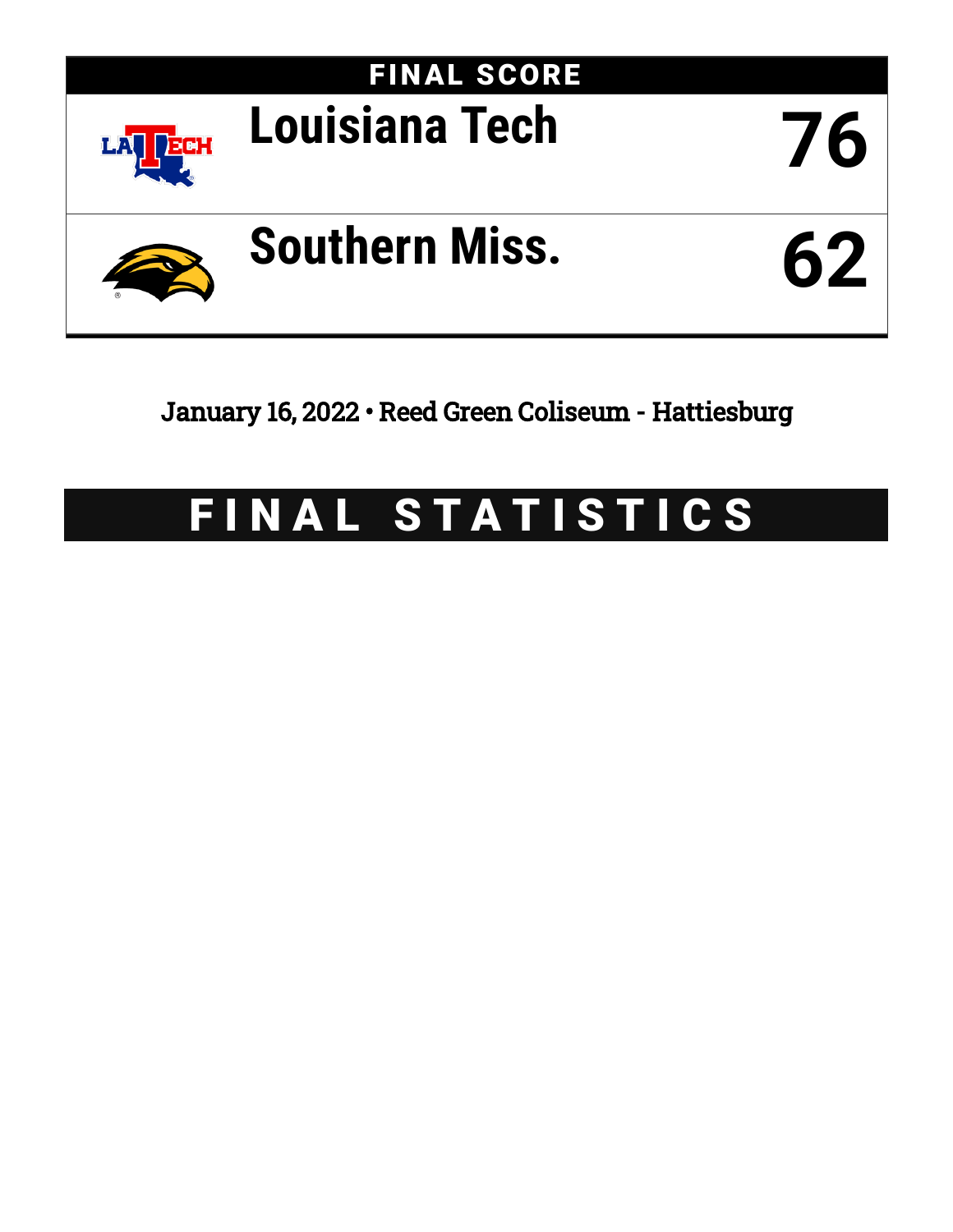

January 16, 2022 • Reed Green Coliseum - Hattiesburg

# FINAL STATISTICS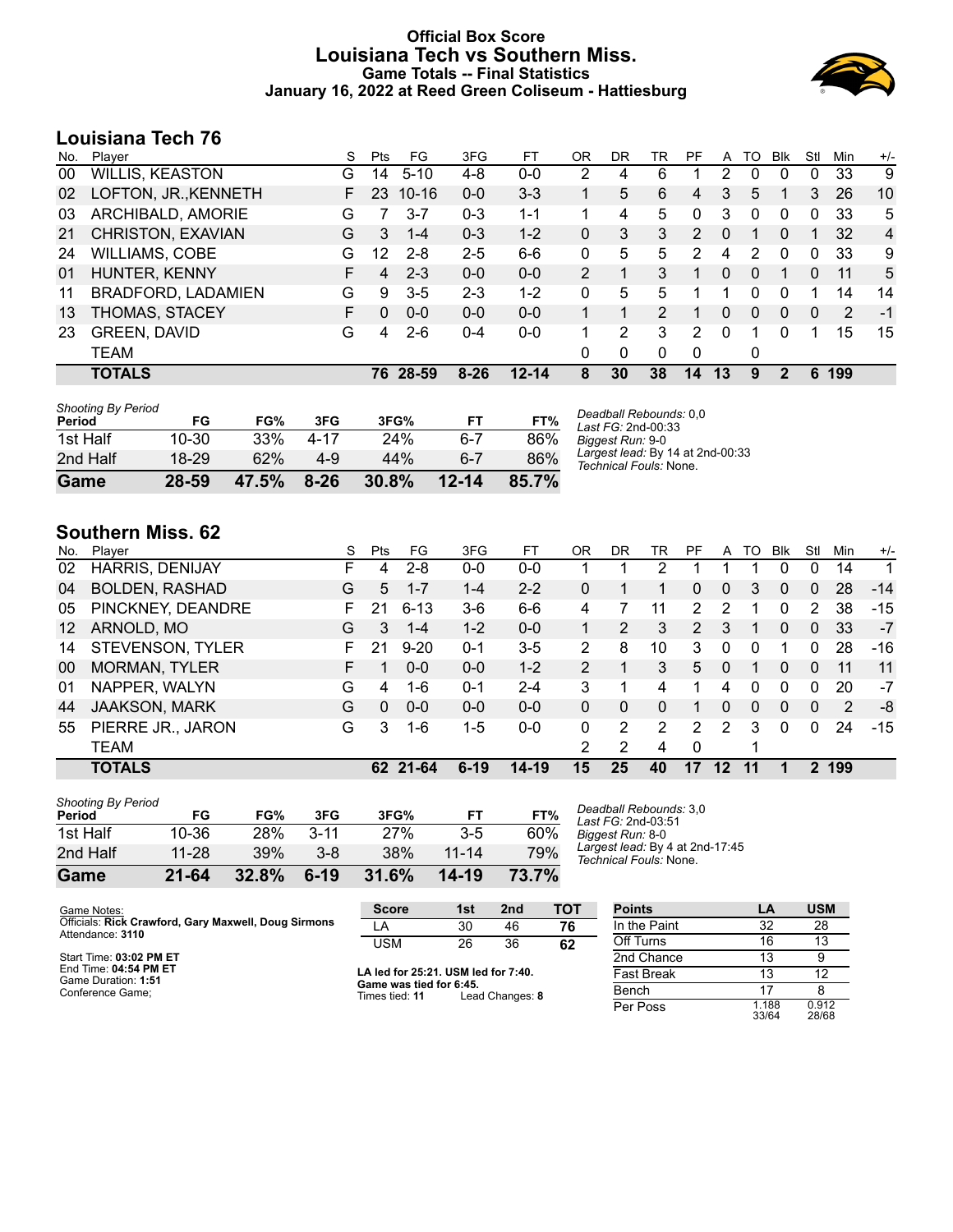### **Official Box Score Louisiana Tech vs Southern Miss. Game Totals -- Final Statistics January 16, 2022 at Reed Green Coliseum - Hattiesburg**



# **Louisiana Tech 76**

| No. | Player                 | S  | <b>Pts</b> | FG        | 3FG      | FT        | 0R | DR | TR             | PF            | A        | TO       | <b>B</b> lk  | Stl          | Min | $+/-$          |
|-----|------------------------|----|------------|-----------|----------|-----------|----|----|----------------|---------------|----------|----------|--------------|--------------|-----|----------------|
| 00  | <b>WILLIS, KEASTON</b> | G  | 14         | $5 - 10$  | $4 - 8$  | $0 - 0$   | 2  | 4  | 6              |               | 2        | 0        | 0            | 0            | 33  | 9              |
| 02  | LOFTON, JR., KENNETH   |    | 23         | $10 - 16$ | $0 - 0$  | $3 - 3$   |    | 5  | 6              | 4             | 3        | 5        |              | 3            | 26  | 10             |
| 03  | ARCHIBALD, AMORIE      | G  |            | $3 - 7$   | $0 - 3$  | $1 - 1$   |    | 4  | 5              | 0             | 3        | 0        | 0            | 0            | 33  | 5              |
| 21  | CHRISTON, EXAVIAN      | G  | 3          | $1 - 4$   | $0 - 3$  | $1 - 2$   | 0  | 3  | 3              | $\mathcal{P}$ | 0        | 1        | $\Omega$     | 1            | 32  | $\overline{4}$ |
| 24  | <b>WILLIAMS, COBE</b>  | G  | 12         | $2 - 8$   | $2 - 5$  | $6-6$     | 0  | 5  | 5              | 2             | 4        | 2        | $\Omega$     | 0            | 33  | 9              |
| 01  | HUNTER, KENNY          |    | 4          | $2 - 3$   | $0 - 0$  | $0 - 0$   | 2  |    | 3              | 1             | $\Omega$ | $\Omega$ | 1            | 0            | 11  | 5              |
| 11  | BRADFORD, LADAMIEN     | G  | 9          | $3-5$     | $2 - 3$  | $1 - 2$   | 0  | 5  | 5              |               |          | 0        | 0            |              | 14  | 14             |
| 13  | THOMAS, STACEY         | F. | 0          | $0 - 0$   | $0 - 0$  | $0 - 0$   |    | 1  | $\overline{2}$ |               | 0        | $\Omega$ | $\mathbf{0}$ | $\mathbf{0}$ | 2   | -1             |
| 23  | <b>GREEN, DAVID</b>    | G  | 4          | $2 - 6$   | $0 - 4$  | $0 - 0$   |    | 2  | 3              | 2             | $\Omega$ |          | 0            |              | 15  | 15             |
|     | TEAM                   |    |            |           |          |           | 0  | 0  | 0              | $\Omega$      |          | 0        |              |              |     |                |
|     | <b>TOTALS</b>          |    | 76         | 28-59     | $8 - 26$ | $12 - 14$ | 8  | 30 | 38             | 14            | 13       | 9        | 2            | 6            | 199 |                |

| Game                                | 28-59     | 47.5% | $8 - 26$ | 30.8% | $12 - 14$ | 85.7% |  |
|-------------------------------------|-----------|-------|----------|-------|-----------|-------|--|
| 2nd Half                            | 18-29     | 62%   | 4-9      | 44%   | 6-7       | 86%   |  |
| 1st Half                            | $10 - 30$ | 33%   | 4-17     | 24%   | $6 - 7$   | 86%   |  |
| <b>Shooting By Period</b><br>Period | FG        | FG%   | 3FG      | 3FG%  | FT        | FT%   |  |

*Deadball Rebounds:* 0,0 *Last FG:* 2nd-00:33 *Biggest Run:* 9-0 *Largest lead:* By 14 at 2nd-00:33 *Technical Fouls:* None.

# **Southern Miss. 62**

| No.             | Plaver                 | S  | Pts      | FG       | 3FG      | FТ        | OR            | DR | TR | PF | A  | TO       | <b>B</b> lk  | Stl | Min | $+/-$ |
|-----------------|------------------------|----|----------|----------|----------|-----------|---------------|----|----|----|----|----------|--------------|-----|-----|-------|
| 02              | <b>HARRIS, DENIJAY</b> | F. | 4        | $2 - 8$  | $0 - 0$  | $0 - 0$   |               |    | 2  |    |    |          | 0            | 0   | 14  | 1     |
| 04              | <b>BOLDEN, RASHAD</b>  | G  | 5        | $1 - 7$  | $1 - 4$  | $2 - 2$   | 0             |    |    | 0  | 0  | 3        | $\Omega$     | 0   | 28  | $-14$ |
| 05              | PINCKNEY, DEANDRE      | F. | 21       | $6 - 13$ | $3-6$    | $6 - 6$   | 4             |    | 11 | 2  | 2  |          | 0            | 2   | 38  | $-15$ |
| 12 <sup>°</sup> | ARNOLD, MO             | G  | 3        | $1 - 4$  | $1-2$    | $0 - 0$   |               | 2  | 3  | 2  | 3  |          | $\Omega$     | 0   | 33  | $-7$  |
| 14              | STEVENSON, TYLER       |    | 21       | $9 - 20$ | $0 - 1$  | $3-5$     | $\mathcal{P}$ | 8  | 10 | 3  | 0  | 0        |              | 0   | 28  | -16   |
| 00              | <b>MORMAN, TYLER</b>   |    |          | $0 - 0$  | $0 - 0$  | $1 - 2$   | $\mathcal{P}$ |    | 3  | 5  | 0  |          | $\mathbf{0}$ | 0   | 11  | 11    |
| 01              | NAPPER, WALYN          | G  | 4        | $1 - 6$  | $0 - 1$  | $2 - 4$   | 3             |    | 4  |    | 4  | $\Omega$ | $\Omega$     | 0   | 20  | $-7$  |
| 44              | <b>JAAKSON, MARK</b>   | G  | $\Omega$ | $0 - 0$  | $0 - 0$  | $0 - 0$   | 0             | 0  | 0  |    | 0  | 0        | $\Omega$     | 0   | 2   | -8    |
| 55              | PIERRE JR., JARON      | G  | 3        | $1 - 6$  | 1-5      | $0 - 0$   | $\Omega$      | 2  | 2  | 2  | 2  | 3        | 0            | 0   | 24  | $-15$ |
|                 | <b>TEAM</b>            |    |          |          |          |           | 2             | 2  | 4  | 0  |    |          |              |     |     |       |
|                 | <b>TOTALS</b>          |    |          | 62 21-64 | $6 - 19$ | $14 - 19$ | 15            | 25 | 40 | 17 | 12 | 11       |              |     | 199 |       |

| Game                                | $21 - 64$ | 32.8% | $6-19$   | 31.6% | 14-19     | 73.7% |
|-------------------------------------|-----------|-------|----------|-------|-----------|-------|
| 2nd Half                            | 11-28     | 39%   | $3 - 8$  | 38%   | $11 - 14$ | 79%   |
| 1st Half                            | 10-36     | 28%   | $3 - 11$ | 27%   | $3-5$     | 60%   |
| <b>Shooting By Period</b><br>Period | FG        | FG%   | 3FG      | 3FG%  | FТ        | FT%   |

*Deadball Rebounds:* 3,0 *Last FG:* 2nd-03:51 *Biggest Run:* 8-0 *Largest lead:* By 4 at 2nd-17:45 *Technical Fouls:* None.

Per Poss

33/64

0.912 28/68

| Game Notes:                                          | <b>Score</b>                              | 1st | 2nd             | тот               | <b>Points</b> | LA | <b>USM</b> |
|------------------------------------------------------|-------------------------------------------|-----|-----------------|-------------------|---------------|----|------------|
| Officials: Rick Crawford, Gary Maxwell, Doug Sirmons | LÂ                                        | 30  | 46              | 76                | In the Paint  | 32 | 28         |
| Attendance: 3110                                     | USM                                       | 26  | 36              | 62                | Off Turns     | 16 | 13         |
| Start Time: 03:02 PM ET                              |                                           |     |                 |                   | 2nd Chance    | 13 |            |
| End Time: 04:54 PM ET<br>Game Duration: 1:51         | LA led for 25:21. USM led for 7:40.       |     |                 | <b>Fast Break</b> | 13            |    |            |
| Conference Game:                                     | Game was tied for 6:45.<br>Times tied: 11 |     | Lead Changes: 8 |                   | Bench         |    |            |
|                                                      |                                           |     |                 |                   |               |    |            |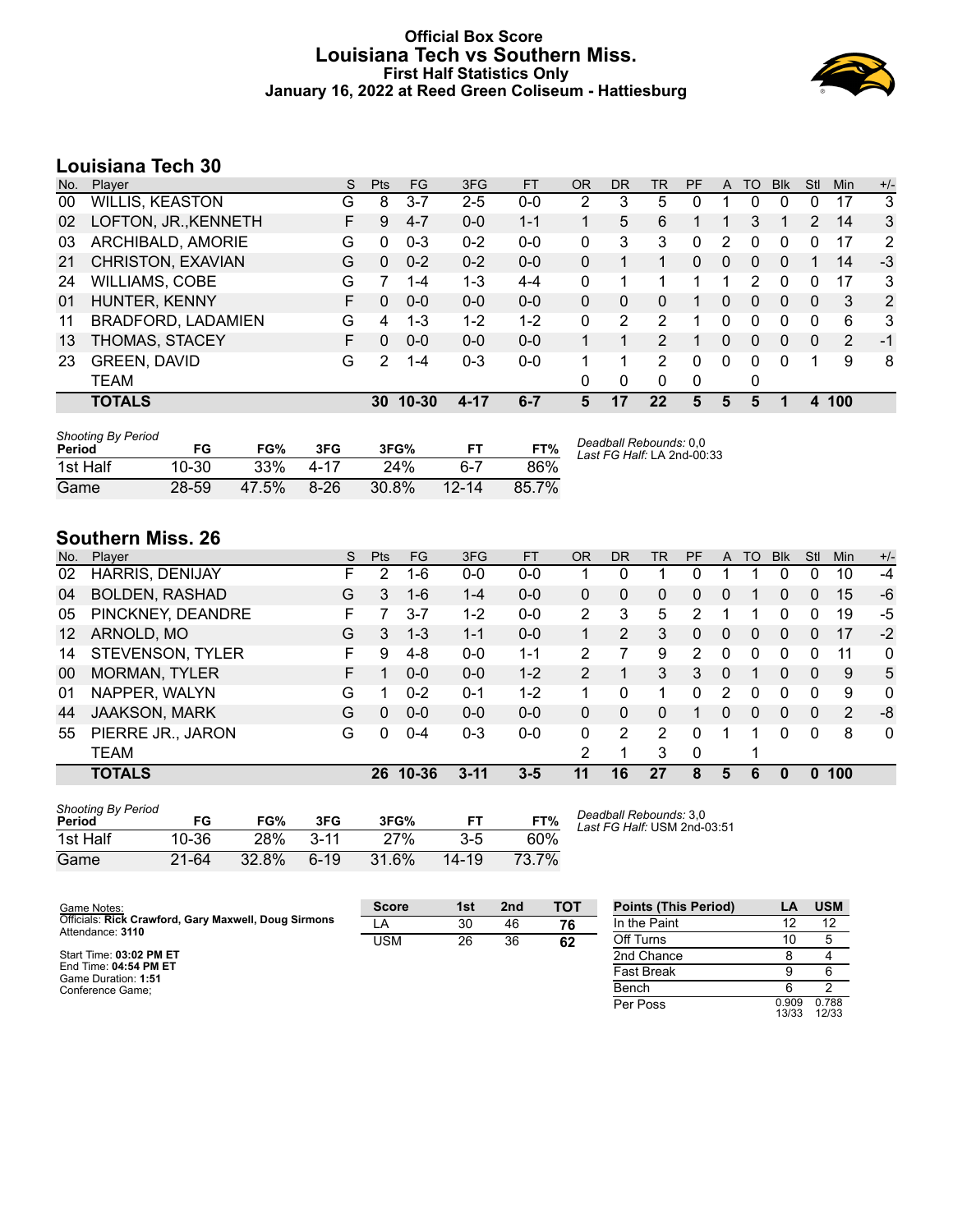#### **Official Box Score Louisiana Tech vs Southern Miss. First Half Statistics Only January 16, 2022 at Reed Green Coliseum - Hattiesburg**



# **Louisiana Tech 30**

| No. | Player                 | S  | <b>Pts</b> | <b>FG</b> | 3FG     | <b>FT</b> | <b>OR</b> | <b>DR</b> | TR.            | PF       | A            | TO           | <b>Blk</b>   | Stl | Min            | $+/-$ |
|-----|------------------------|----|------------|-----------|---------|-----------|-----------|-----------|----------------|----------|--------------|--------------|--------------|-----|----------------|-------|
| 00  | <b>WILLIS, KEASTON</b> | G  | 8          | $3 - 7$   | $2 - 5$ | $0-0$     | 2         | 3         | 5.             |          |              | 0            | 0            | 0   | 17             | 3     |
| 02  | LOFTON, JR., KENNETH   | F. | 9          | $4 - 7$   | $0 - 0$ | $1 - 1$   |           | 5         | 6              |          |              | 3            |              | 2   | 14             | 3     |
| 03  | ARCHIBALD, AMORIE      | G  | 0          | $0 - 3$   | $0 - 2$ | $0 - 0$   | 0         | 3         | 3              | 0        | 2            | 0            | $\Omega$     | 0   | 17             | 2     |
| 21  | CHRISTON, EXAVIAN      | G  | $\Omega$   | $0 - 2$   | $0 - 2$ | $0 - 0$   | 0         | 1         |                | 0        | $\Omega$     | $\Omega$     | $\Omega$     |     | 14             | $-3$  |
| 24  | <b>WILLIAMS, COBE</b>  | G  |            | $1 - 4$   | 1-3     | $4 - 4$   | 0         | 1         |                |          | 1            | 2            | $\Omega$     | 0   | 17             | 3     |
| 01  | HUNTER, KENNY          | F. | $\Omega$   | $0 - 0$   | $0 - 0$ | $0 - 0$   | 0         | 0         | 0              |          | 0            | 0            | $\mathbf{0}$ | 0   | 3              | 2     |
| 11  | BRADFORD, LADAMIEN     | G  | 4          | $1 - 3$   | $1 - 2$ | $1 - 2$   | 0         | 2         | 2              |          | 0            | 0            | 0            | 0   | 6              | 3     |
| 13  | THOMAS, STACEY         | F. | $\Omega$   | $0 - 0$   | $0 - 0$ | $0 - 0$   |           |           | $\overline{2}$ |          | $\mathbf{0}$ | $\mathbf{0}$ | $\Omega$     | 0   | $\overline{2}$ | -1    |
| 23  | <b>GREEN, DAVID</b>    | G  | 2          | 1-4       | $0 - 3$ | $0 - 0$   |           | 1         | $\mathcal{P}$  | 0        | 0            | 0            | $\Omega$     | 1   | 9              | 8     |
|     | TEAM                   |    |            |           |         |           | 0         | 0         | 0              | $\Omega$ |              | 0            |              |     |                |       |
|     | <b>TOTALS</b>          |    | 30         | $10 - 30$ | 4-17    | $6 - 7$   | 5         | 17        | 22             | 5        | 5            | 5            |              | 4   | 100            |       |

| <b>Shooting By Period</b><br>Period | FG        | FG%   | 3FG    | 3FG%  | <b>FT</b> | FT%   | Deadball Rebounds: 0.0<br>Last FG Half: LA 2nd-00:33 |
|-------------------------------------|-----------|-------|--------|-------|-----------|-------|------------------------------------------------------|
| 1st Half                            | $10 - 30$ | 33%   | 4-17   | 24%   | հ-7       | 86%   |                                                      |
| Game                                | 28-59     | 47.5% | $8-26$ | 30.8% | $12 - 14$ | 85.7% |                                                      |

# **Southern Miss. 26**

| No.               | Plaver                | S  | <b>Pts</b> | FG        | 3FG      | <b>FT</b> | <b>OR</b>      | <b>DR</b> | TR | PF       | A | TO       | <b>Blk</b> | Stl      | Min | $+/-$        |
|-------------------|-----------------------|----|------------|-----------|----------|-----------|----------------|-----------|----|----------|---|----------|------------|----------|-----|--------------|
| 02                | HARRIS, DENIJAY       | F. | 2          | $1 - 6$   | $0 - 0$  | $0 - 0$   |                | 0         |    | 0        |   |          | 0          | 0        | 10  | $-4$         |
| 04                | <b>BOLDEN, RASHAD</b> | G  | 3          | $1 - 6$   | $1 - 4$  | $0 - 0$   | 0              | 0         | 0  | 0        | 0 |          | 0          | 0        | 15  | $-6$         |
| 05                | PINCKNEY, DEANDRE     | F  |            | $3 - 7$   | $1 - 2$  | $0 - 0$   | 2              | 3         | 5  | 2        |   |          | 0          | 0        | 19  | -5           |
| $12 \overline{ }$ | ARNOLD, MO            | G  | 3.         | $1 - 3$   | $1 - 1$  | $0 - 0$   | 1              | 2         | 3  | 0        | 0 | 0        | 0          | 0        | 17  | $-2$         |
| 14                | STEVENSON, TYLER      | F. | 9          | 4-8       | $0 - 0$  | 1-1       | 2              |           | 9  | 2        | 0 | 0        | 0          | U        | 11  | 0            |
| 00                | <b>MORMAN, TYLER</b>  | F  |            | $0 - 0$   | $0 - 0$  | $1 - 2$   | $\overline{2}$ |           | 3  | 3        | 0 |          | 0          | $\Omega$ | 9   | 5            |
| 01                | NAPPER, WALYN         | G  |            | $0 - 2$   | $0 - 1$  | $1 - 2$   |                | 0         |    | 0        | 2 | 0        | 0          | $\Omega$ | 9   | $\mathbf{0}$ |
| 44                | <b>JAAKSON, MARK</b>  | G  | 0          | $0 - 0$   | $0 - 0$  | $0 - 0$   | 0              | 0         | 0  |          | 0 | $\Omega$ | 0          | 0        | 2   | -8           |
| 55                | PIERRE JR., JARON     | G  | 0          | $0 - 4$   | $0 - 3$  | $0 - 0$   | 0              | 2         | 2  | $\Omega$ | 1 |          | 0          | $\Omega$ | 8   | $\mathbf 0$  |
|                   | TEAM                  |    |            |           |          |           | 2              |           | 3  | 0        |   | 1        |            |          |     |              |
|                   | <b>TOTALS</b>         |    | 26         | $10 - 36$ | $3 - 11$ | $3 - 5$   | 11             | 16        | 27 | 8        | 5 | 6        | 0          |          | 100 |              |

| <b>Shooting By Period</b><br>Period | FG    | FG%   | 3FG      | 3FG%  | FТ    | FT%   |
|-------------------------------------|-------|-------|----------|-------|-------|-------|
| 1st Half                            | 10-36 | 28%   | $3 - 11$ | 27%   | 3-5   | 60%   |
| Game                                | 21-64 | 32.8% | $6-19$   | 31.6% | 14-19 | 73.7% |

*Deadball Rebounds:* 3,0 *Last FG Half:* USM 2nd-03:51

| Game Notes:                                                              | <b>Score</b> | 1st | 2 <sub>nd</sub> | <b>TOT</b> | <b>Points (This Period)</b> |                | <b>USM</b>     |
|--------------------------------------------------------------------------|--------------|-----|-----------------|------------|-----------------------------|----------------|----------------|
| Officials: Rick Crawford, Gary Maxwell, Doug Sirmons<br>Attendance: 3110 | LA           | 30  | 46              | 76         | In the Paint                |                | 12             |
|                                                                          | USM          | 26  | 36              | 62         | Off Turns                   | 10             |                |
| Start Time: 03:02 PM ET                                                  |              |     |                 |            | 2nd Chance                  |                |                |
| End Time: 04:54 PM ET<br>Game Duration: 1:51                             |              |     |                 |            | <b>Fast Break</b>           |                |                |
| Conference Game:                                                         |              |     |                 |            | Bench                       |                |                |
|                                                                          |              |     |                 |            | Per Poss                    | 0.909<br>13/33 | 0.788<br>12/33 |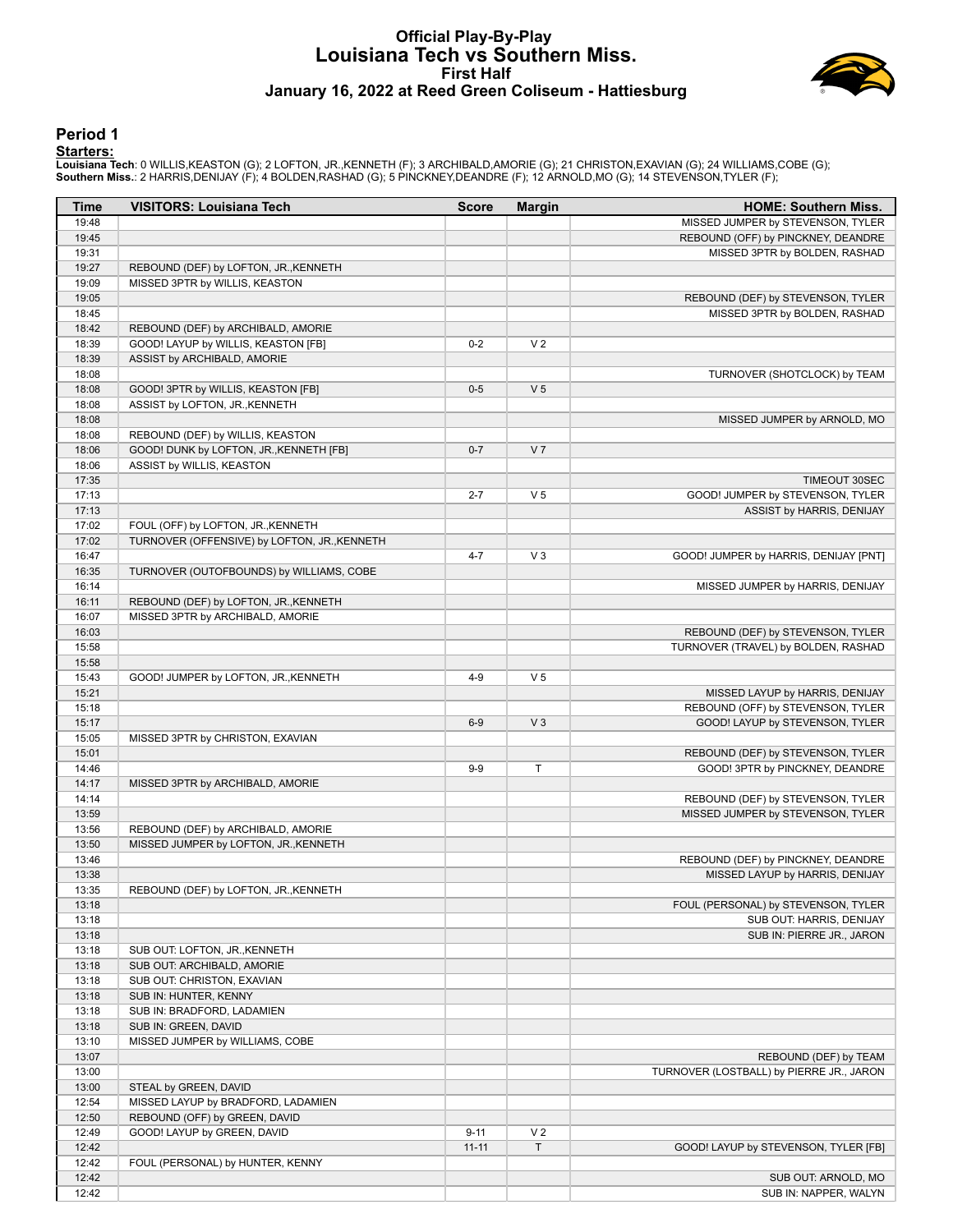#### **Official Play-By-Play Louisiana Tech vs Southern Miss. First Half January 16, 2022 at Reed Green Coliseum - Hattiesburg**



#### **Period 1**

<mark>Starters:</mark><br>Louisiana Tech: 0 WILLIS,KEASTON (G); 2 LOFTON, JR.,KENNETH (F); 3 ARCHIBALD,AMORIE (G); 21 CHRISTON,EXAVIAN (G); 24 WILLIAMS,COBE (G);<br>**Southern Miss.**: 2 HARRIS,DENIJAY (F); 4 BOLDEN,RASHAD (G); 5 PINCKNEY,DE

| Time           | <b>VISITORS: Louisiana Tech</b>              | <b>Score</b> | <b>Margin</b>  | <b>HOME: Southern Miss.</b>              |
|----------------|----------------------------------------------|--------------|----------------|------------------------------------------|
| 19:48          |                                              |              |                | MISSED JUMPER by STEVENSON, TYLER        |
| 19:45          |                                              |              |                | REBOUND (OFF) by PINCKNEY, DEANDRE       |
| 19:31          |                                              |              |                | MISSED 3PTR by BOLDEN, RASHAD            |
| 19:27          | REBOUND (DEF) by LOFTON, JR., KENNETH        |              |                |                                          |
| 19:09          | MISSED 3PTR by WILLIS, KEASTON               |              |                |                                          |
| 19:05          |                                              |              |                | REBOUND (DEF) by STEVENSON, TYLER        |
| 18:45          |                                              |              |                | MISSED 3PTR by BOLDEN, RASHAD            |
| 18:42          | REBOUND (DEF) by ARCHIBALD, AMORIE           |              |                |                                          |
| 18:39          | GOOD! LAYUP by WILLIS, KEASTON [FB]          | $0 - 2$      | V <sub>2</sub> |                                          |
| 18:39          | ASSIST by ARCHIBALD, AMORIE                  |              |                |                                          |
| 18:08          |                                              |              |                | TURNOVER (SHOTCLOCK) by TEAM             |
| 18:08          | GOOD! 3PTR by WILLIS, KEASTON [FB]           | $0-5$        | V <sub>5</sub> |                                          |
| 18:08          | ASSIST by LOFTON, JR., KENNETH               |              |                |                                          |
| 18:08          |                                              |              |                | MISSED JUMPER by ARNOLD, MO              |
| 18:08          | REBOUND (DEF) by WILLIS, KEASTON             |              |                |                                          |
| 18:06          | GOOD! DUNK by LOFTON, JR., KENNETH [FB]      | $0 - 7$      | V <sub>7</sub> |                                          |
| 18:06          | ASSIST by WILLIS, KEASTON                    |              |                |                                          |
| 17:35          |                                              |              |                | <b>TIMEOUT 30SEC</b>                     |
| 17:13          |                                              | $2 - 7$      | V <sub>5</sub> | GOOD! JUMPER by STEVENSON, TYLER         |
| 17:13          |                                              |              |                | ASSIST by HARRIS, DENIJAY                |
| 17:02          | FOUL (OFF) by LOFTON, JR., KENNETH           |              |                |                                          |
| 17:02          | TURNOVER (OFFENSIVE) by LOFTON, JR., KENNETH |              |                |                                          |
| 16:47          |                                              | $4 - 7$      | $V_3$          | GOOD! JUMPER by HARRIS, DENIJAY [PNT]    |
| 16:35          | TURNOVER (OUTOFBOUNDS) by WILLIAMS, COBE     |              |                |                                          |
| 16:14          |                                              |              |                | MISSED JUMPER by HARRIS, DENIJAY         |
| 16:11          | REBOUND (DEF) by LOFTON, JR., KENNETH        |              |                |                                          |
| 16:07          | MISSED 3PTR by ARCHIBALD, AMORIE             |              |                |                                          |
| 16:03          |                                              |              |                | REBOUND (DEF) by STEVENSON, TYLER        |
| 15:58          |                                              |              |                | TURNOVER (TRAVEL) by BOLDEN, RASHAD      |
| 15:58          |                                              |              |                |                                          |
| 15:43          | GOOD! JUMPER by LOFTON, JR., KENNETH         | $4 - 9$      | V <sub>5</sub> |                                          |
| 15:21          |                                              |              |                | MISSED LAYUP by HARRIS, DENIJAY          |
| 15:18          |                                              |              |                | REBOUND (OFF) by STEVENSON, TYLER        |
| 15:17          |                                              | $6-9$        | V <sub>3</sub> | GOOD! LAYUP by STEVENSON, TYLER          |
| 15:05          | MISSED 3PTR by CHRISTON, EXAVIAN             |              |                |                                          |
| 15:01          |                                              |              |                | REBOUND (DEF) by STEVENSON, TYLER        |
| 14:46          |                                              | $9-9$        | T              | GOOD! 3PTR by PINCKNEY, DEANDRE          |
| 14:17<br>14:14 | MISSED 3PTR by ARCHIBALD, AMORIE             |              |                | REBOUND (DEF) by STEVENSON, TYLER        |
| 13:59          |                                              |              |                |                                          |
| 13:56          | REBOUND (DEF) by ARCHIBALD, AMORIE           |              |                | MISSED JUMPER by STEVENSON, TYLER        |
| 13:50          | MISSED JUMPER by LOFTON, JR., KENNETH        |              |                |                                          |
| 13:46          |                                              |              |                | REBOUND (DEF) by PINCKNEY, DEANDRE       |
| 13:38          |                                              |              |                | MISSED LAYUP by HARRIS, DENIJAY          |
| 13:35          | REBOUND (DEF) by LOFTON, JR., KENNETH        |              |                |                                          |
| 13:18          |                                              |              |                | FOUL (PERSONAL) by STEVENSON, TYLER      |
| 13:18          |                                              |              |                | SUB OUT: HARRIS, DENIJAY                 |
| 13:18          |                                              |              |                | SUB IN: PIERRE JR., JARON                |
| 13:18          | SUB OUT: LOFTON, JR., KENNETH                |              |                |                                          |
| 13:18          | SUB OUT: ARCHIBALD, AMORIE                   |              |                |                                          |
| 13:18          | SUB OUT: CHRISTON, EXAVIAN                   |              |                |                                          |
| 13:18          | SUB IN: HUNTER, KENNY                        |              |                |                                          |
| 13:18          | SUB IN: BRADFORD, LADAMIEN                   |              |                |                                          |
| 13:18          | SUB IN: GREEN, DAVID                         |              |                |                                          |
| 13:10          | MISSED JUMPER by WILLIAMS, COBE              |              |                |                                          |
| 13:07          |                                              |              |                | REBOUND (DEF) by TEAM                    |
| 13:00          |                                              |              |                | TURNOVER (LOSTBALL) by PIERRE JR., JARON |
| 13:00          | STEAL by GREEN, DAVID                        |              |                |                                          |
| 12:54          | MISSED LAYUP by BRADFORD, LADAMIEN           |              |                |                                          |
| 12:50          | REBOUND (OFF) by GREEN, DAVID                |              |                |                                          |
| 12:49          | GOOD! LAYUP by GREEN, DAVID                  | $9 - 11$     | V <sub>2</sub> |                                          |
| 12:42          |                                              | $11 - 11$    | T              | GOOD! LAYUP by STEVENSON, TYLER [FB]     |
| 12:42          | FOUL (PERSONAL) by HUNTER, KENNY             |              |                |                                          |
| 12:42          |                                              |              |                | SUB OUT: ARNOLD, MO                      |
| 12:42          |                                              |              |                | SUB IN: NAPPER, WALYN                    |
|                |                                              |              |                |                                          |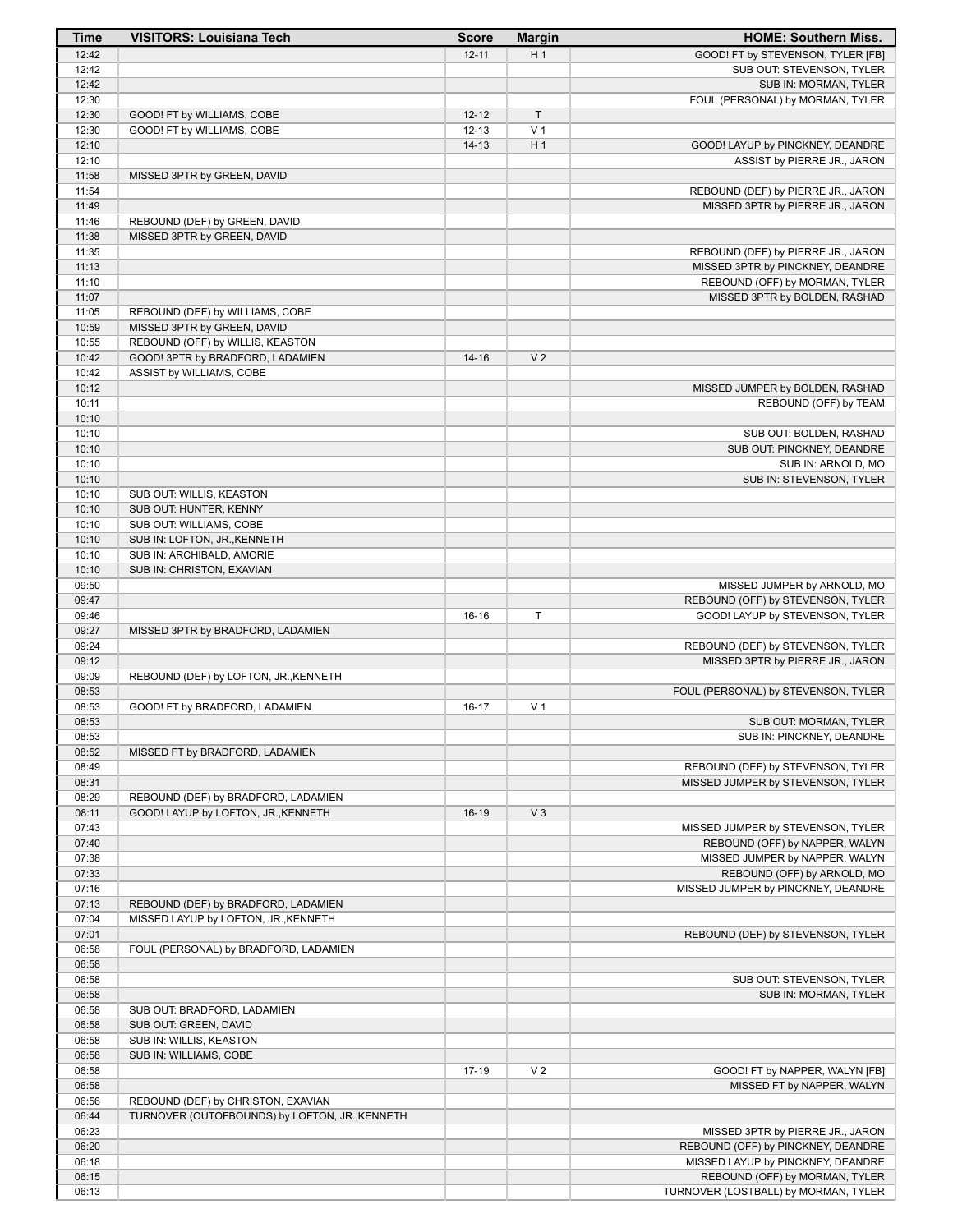| <b>Time</b>    | <b>VISITORS: Louisiana Tech</b>                                      | <b>Score</b> | <b>Margin</b>  | <b>HOME: Southern Miss.</b>                                         |
|----------------|----------------------------------------------------------------------|--------------|----------------|---------------------------------------------------------------------|
| 12:42          |                                                                      | $12 - 11$    | H <sub>1</sub> | GOOD! FT by STEVENSON, TYLER [FB]                                   |
| 12:42          |                                                                      |              |                | SUB OUT: STEVENSON, TYLER                                           |
| 12:42          |                                                                      |              |                | SUB IN: MORMAN, TYLER                                               |
| 12:30          |                                                                      |              |                | FOUL (PERSONAL) by MORMAN, TYLER                                    |
| 12:30          | GOOD! FT by WILLIAMS, COBE                                           | $12 - 12$    | T              |                                                                     |
| 12:30          | GOOD! FT by WILLIAMS, COBE                                           | $12 - 13$    | V <sub>1</sub> |                                                                     |
| 12:10<br>12:10 |                                                                      | $14 - 13$    | H <sub>1</sub> | GOOD! LAYUP by PINCKNEY, DEANDRE                                    |
| 11:58          | MISSED 3PTR by GREEN, DAVID                                          |              |                | ASSIST by PIERRE JR., JARON                                         |
| 11:54          |                                                                      |              |                | REBOUND (DEF) by PIERRE JR., JARON                                  |
| 11:49          |                                                                      |              |                | MISSED 3PTR by PIERRE JR., JARON                                    |
| 11:46          | REBOUND (DEF) by GREEN, DAVID                                        |              |                |                                                                     |
| 11:38          | MISSED 3PTR by GREEN, DAVID                                          |              |                |                                                                     |
| 11:35          |                                                                      |              |                | REBOUND (DEF) by PIERRE JR., JARON                                  |
| 11:13          |                                                                      |              |                | MISSED 3PTR by PINCKNEY, DEANDRE                                    |
| 11:10          |                                                                      |              |                | REBOUND (OFF) by MORMAN, TYLER                                      |
| 11:07          |                                                                      |              |                | MISSED 3PTR by BOLDEN, RASHAD                                       |
| 11:05          | REBOUND (DEF) by WILLIAMS, COBE                                      |              |                |                                                                     |
| 10:59          | MISSED 3PTR by GREEN, DAVID                                          |              |                |                                                                     |
| 10:55<br>10:42 | REBOUND (OFF) by WILLIS, KEASTON<br>GOOD! 3PTR by BRADFORD, LADAMIEN | $14 - 16$    | V <sub>2</sub> |                                                                     |
| 10:42          | ASSIST by WILLIAMS, COBE                                             |              |                |                                                                     |
| 10:12          |                                                                      |              |                | MISSED JUMPER by BOLDEN, RASHAD                                     |
| 10:11          |                                                                      |              |                | REBOUND (OFF) by TEAM                                               |
| 10:10          |                                                                      |              |                |                                                                     |
| 10:10          |                                                                      |              |                | SUB OUT: BOLDEN, RASHAD                                             |
| 10:10          |                                                                      |              |                | SUB OUT: PINCKNEY, DEANDRE                                          |
| 10:10          |                                                                      |              |                | SUB IN: ARNOLD, MO                                                  |
| 10:10          |                                                                      |              |                | SUB IN: STEVENSON, TYLER                                            |
| 10:10          | SUB OUT: WILLIS, KEASTON                                             |              |                |                                                                     |
| 10:10          | SUB OUT: HUNTER, KENNY                                               |              |                |                                                                     |
| 10:10          | SUB OUT: WILLIAMS, COBE                                              |              |                |                                                                     |
| 10:10          | SUB IN: LOFTON, JR., KENNETH                                         |              |                |                                                                     |
| 10:10<br>10:10 | SUB IN: ARCHIBALD, AMORIE<br>SUB IN: CHRISTON, EXAVIAN               |              |                |                                                                     |
| 09:50          |                                                                      |              |                | MISSED JUMPER by ARNOLD, MO                                         |
| 09:47          |                                                                      |              |                | REBOUND (OFF) by STEVENSON, TYLER                                   |
| 09:46          |                                                                      | $16-16$      | T              | GOOD! LAYUP by STEVENSON, TYLER                                     |
| 09:27          | MISSED 3PTR by BRADFORD, LADAMIEN                                    |              |                |                                                                     |
| 09:24          |                                                                      |              |                | REBOUND (DEF) by STEVENSON, TYLER                                   |
| 09:12          |                                                                      |              |                | MISSED 3PTR by PIERRE JR., JARON                                    |
| 09:09          | REBOUND (DEF) by LOFTON, JR., KENNETH                                |              |                |                                                                     |
| 08:53          |                                                                      |              |                | FOUL (PERSONAL) by STEVENSON, TYLER                                 |
| 08:53          | GOOD! FT by BRADFORD, LADAMIEN                                       | $16 - 17$    | V <sub>1</sub> |                                                                     |
| 08:53          |                                                                      |              |                | SUB OUT: MORMAN, TYLER                                              |
| 08:53          |                                                                      |              |                | SUB IN: PINCKNEY, DEANDRE                                           |
| 08:52<br>08:49 | MISSED FT by BRADFORD, LADAMIEN                                      |              |                | REBOUND (DEF) by STEVENSON, TYLER                                   |
| 08:31          |                                                                      |              |                | MISSED JUMPER by STEVENSON, TYLER                                   |
| 08:29          | REBOUND (DEF) by BRADFORD, LADAMIEN                                  |              |                |                                                                     |
| 08:11          | GOOD! LAYUP by LOFTON, JR., KENNETH                                  | $16-19$      | $V_3$          |                                                                     |
| 07:43          |                                                                      |              |                | MISSED JUMPER by STEVENSON, TYLER                                   |
| 07:40          |                                                                      |              |                | REBOUND (OFF) by NAPPER, WALYN                                      |
| 07:38          |                                                                      |              |                | MISSED JUMPER by NAPPER, WALYN                                      |
| 07:33          |                                                                      |              |                | REBOUND (OFF) by ARNOLD, MO                                         |
| 07:16          |                                                                      |              |                | MISSED JUMPER by PINCKNEY, DEANDRE                                  |
| 07:13          | REBOUND (DEF) by BRADFORD, LADAMIEN                                  |              |                |                                                                     |
| 07:04          | MISSED LAYUP by LOFTON, JR., KENNETH                                 |              |                |                                                                     |
| 07:01          |                                                                      |              |                | REBOUND (DEF) by STEVENSON, TYLER                                   |
| 06:58<br>06:58 | FOUL (PERSONAL) by BRADFORD, LADAMIEN                                |              |                |                                                                     |
| 06:58          |                                                                      |              |                | SUB OUT: STEVENSON, TYLER                                           |
| 06:58          |                                                                      |              |                | SUB IN: MORMAN, TYLER                                               |
| 06:58          | SUB OUT: BRADFORD, LADAMIEN                                          |              |                |                                                                     |
| 06:58          | SUB OUT: GREEN, DAVID                                                |              |                |                                                                     |
| 06:58          | SUB IN: WILLIS, KEASTON                                              |              |                |                                                                     |
| 06:58          | SUB IN: WILLIAMS, COBE                                               |              |                |                                                                     |
| 06:58          |                                                                      | 17-19        | V <sub>2</sub> | GOOD! FT by NAPPER, WALYN [FB]                                      |
| 06:58          |                                                                      |              |                | MISSED FT by NAPPER, WALYN                                          |
| 06:56          | REBOUND (DEF) by CHRISTON, EXAVIAN                                   |              |                |                                                                     |
| 06:44          | TURNOVER (OUTOFBOUNDS) by LOFTON, JR., KENNETH                       |              |                |                                                                     |
| 06:23          |                                                                      |              |                | MISSED 3PTR by PIERRE JR., JARON                                    |
| 06:20          |                                                                      |              |                | REBOUND (OFF) by PINCKNEY, DEANDRE                                  |
| 06:18<br>06:15 |                                                                      |              |                | MISSED LAYUP by PINCKNEY, DEANDRE<br>REBOUND (OFF) by MORMAN, TYLER |
| 06:13          |                                                                      |              |                | TURNOVER (LOSTBALL) by MORMAN, TYLER                                |
|                |                                                                      |              |                |                                                                     |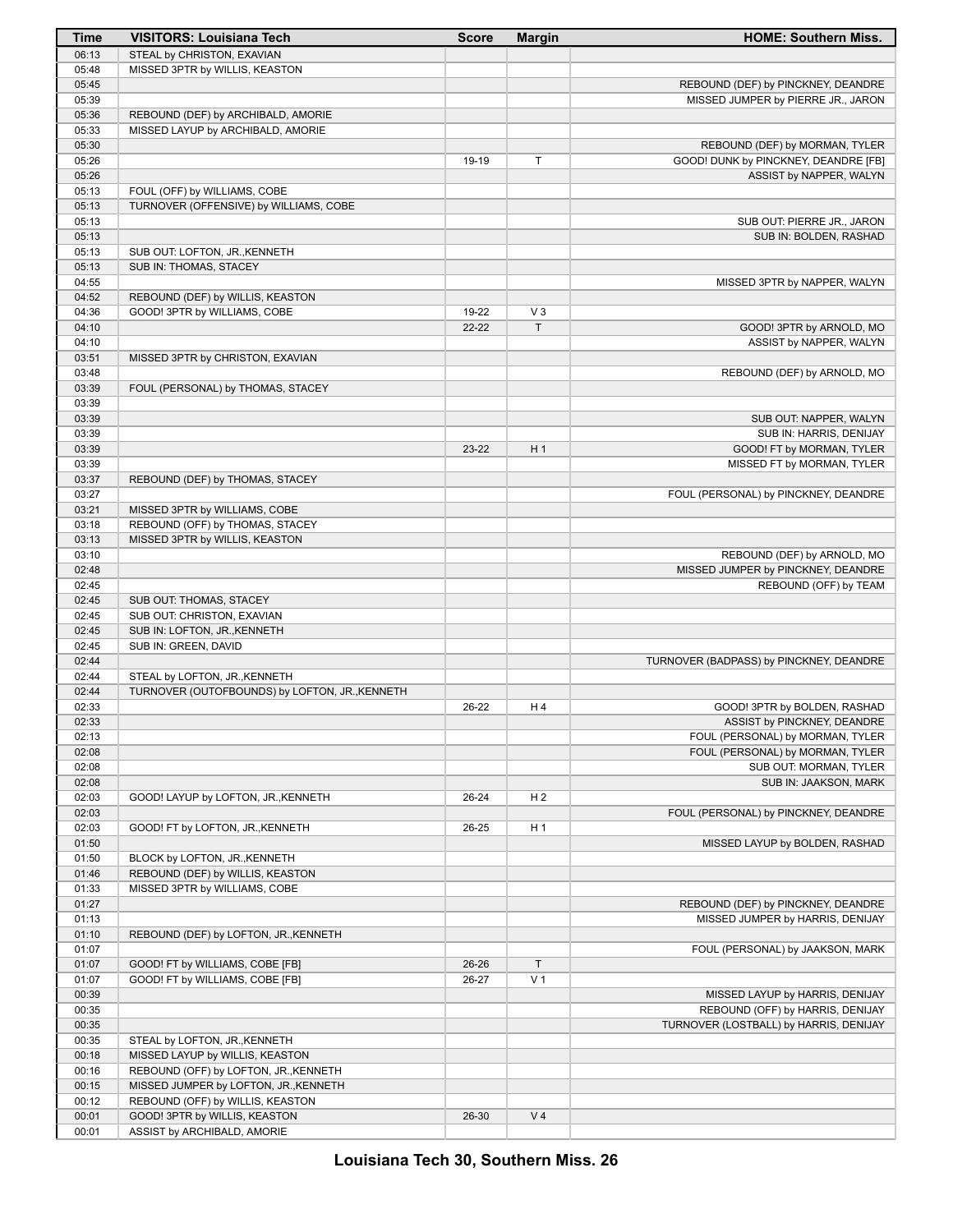| Time  | <b>VISITORS: Louisiana Tech</b>                | <b>Score</b> | <b>Margin</b>  | <b>HOME: Southern Miss.</b>             |
|-------|------------------------------------------------|--------------|----------------|-----------------------------------------|
| 06:13 | STEAL by CHRISTON, EXAVIAN                     |              |                |                                         |
| 05:48 | MISSED 3PTR by WILLIS, KEASTON                 |              |                |                                         |
| 05:45 |                                                |              |                | REBOUND (DEF) by PINCKNEY, DEANDRE      |
| 05:39 |                                                |              |                | MISSED JUMPER by PIERRE JR., JARON      |
| 05:36 | REBOUND (DEF) by ARCHIBALD, AMORIE             |              |                |                                         |
| 05:33 | MISSED LAYUP by ARCHIBALD, AMORIE              |              |                |                                         |
| 05:30 |                                                |              |                | REBOUND (DEF) by MORMAN, TYLER          |
| 05:26 |                                                | 19-19        | T              | GOOD! DUNK by PINCKNEY, DEANDRE [FB]    |
| 05:26 |                                                |              |                | ASSIST by NAPPER, WALYN                 |
| 05:13 | FOUL (OFF) by WILLIAMS, COBE                   |              |                |                                         |
| 05:13 | TURNOVER (OFFENSIVE) by WILLIAMS, COBE         |              |                |                                         |
| 05:13 |                                                |              |                | SUB OUT: PIERRE JR., JARON              |
| 05:13 |                                                |              |                | SUB IN: BOLDEN, RASHAD                  |
| 05:13 | SUB OUT: LOFTON, JR., KENNETH                  |              |                |                                         |
| 05:13 | SUB IN: THOMAS, STACEY                         |              |                |                                         |
| 04:55 |                                                |              |                |                                         |
| 04:52 |                                                |              |                | MISSED 3PTR by NAPPER, WALYN            |
|       | REBOUND (DEF) by WILLIS, KEASTON               |              |                |                                         |
| 04:36 | GOOD! 3PTR by WILLIAMS, COBE                   | 19-22        | $V_3$          |                                         |
| 04:10 |                                                | $22 - 22$    | $\top$         | GOOD! 3PTR by ARNOLD, MO                |
| 04:10 |                                                |              |                | ASSIST by NAPPER, WALYN                 |
| 03:51 | MISSED 3PTR by CHRISTON, EXAVIAN               |              |                |                                         |
| 03:48 |                                                |              |                | REBOUND (DEF) by ARNOLD, MO             |
| 03:39 | FOUL (PERSONAL) by THOMAS, STACEY              |              |                |                                         |
| 03:39 |                                                |              |                |                                         |
| 03:39 |                                                |              |                | SUB OUT: NAPPER, WALYN                  |
| 03:39 |                                                |              |                | SUB IN: HARRIS, DENIJAY                 |
| 03:39 |                                                | 23-22        | H <sub>1</sub> | GOOD! FT by MORMAN, TYLER               |
| 03:39 |                                                |              |                | MISSED FT by MORMAN, TYLER              |
| 03:37 | REBOUND (DEF) by THOMAS, STACEY                |              |                |                                         |
| 03:27 |                                                |              |                | FOUL (PERSONAL) by PINCKNEY, DEANDRE    |
| 03:21 | MISSED 3PTR by WILLIAMS, COBE                  |              |                |                                         |
| 03:18 | REBOUND (OFF) by THOMAS, STACEY                |              |                |                                         |
| 03:13 | MISSED 3PTR by WILLIS, KEASTON                 |              |                |                                         |
| 03:10 |                                                |              |                | REBOUND (DEF) by ARNOLD, MO             |
| 02:48 |                                                |              |                | MISSED JUMPER by PINCKNEY, DEANDRE      |
| 02:45 |                                                |              |                | REBOUND (OFF) by TEAM                   |
| 02:45 | SUB OUT: THOMAS, STACEY                        |              |                |                                         |
| 02:45 | SUB OUT: CHRISTON, EXAVIAN                     |              |                |                                         |
| 02:45 | SUB IN: LOFTON, JR., KENNETH                   |              |                |                                         |
| 02:45 | SUB IN: GREEN, DAVID                           |              |                |                                         |
| 02:44 |                                                |              |                | TURNOVER (BADPASS) by PINCKNEY, DEANDRE |
| 02:44 | STEAL by LOFTON, JR., KENNETH                  |              |                |                                         |
| 02:44 | TURNOVER (OUTOFBOUNDS) by LOFTON, JR., KENNETH |              |                |                                         |
| 02:33 |                                                | 26-22        | H4             | GOOD! 3PTR by BOLDEN, RASHAD            |
| 02:33 |                                                |              |                | ASSIST by PINCKNEY, DEANDRE             |
| 02:13 |                                                |              |                | FOUL (PERSONAL) by MORMAN, TYLER        |
| 02:08 |                                                |              |                | FOUL (PERSONAL) by MORMAN, TYLER        |
| 02:08 |                                                |              |                |                                         |
|       |                                                |              |                | SUB OUT: MORMAN, TYLER                  |
| 02:08 |                                                |              |                | SUB IN: JAAKSON, MARK                   |
| 02:03 | GOOD! LAYUP by LOFTON, JR., KENNETH            | 26-24        | H <sub>2</sub> |                                         |
| 02:03 |                                                |              |                | FOUL (PERSONAL) by PINCKNEY, DEANDRE    |
| 02:03 | GOOD! FT by LOFTON, JR., KENNETH               | 26-25        | H <sub>1</sub> |                                         |
| 01:50 |                                                |              |                | MISSED LAYUP by BOLDEN, RASHAD          |
| 01:50 | BLOCK by LOFTON, JR., KENNETH                  |              |                |                                         |
| 01:46 | REBOUND (DEF) by WILLIS, KEASTON               |              |                |                                         |
| 01:33 | MISSED 3PTR by WILLIAMS, COBE                  |              |                |                                         |
| 01:27 |                                                |              |                | REBOUND (DEF) by PINCKNEY, DEANDRE      |
| 01:13 |                                                |              |                | MISSED JUMPER by HARRIS, DENIJAY        |
| 01:10 | REBOUND (DEF) by LOFTON, JR., KENNETH          |              |                |                                         |
| 01:07 |                                                |              |                | FOUL (PERSONAL) by JAAKSON, MARK        |
| 01:07 | GOOD! FT by WILLIAMS, COBE [FB]                | 26-26        | $\top$         |                                         |
| 01:07 | GOOD! FT by WILLIAMS, COBE [FB]                | 26-27        | V <sub>1</sub> |                                         |
| 00:39 |                                                |              |                | MISSED LAYUP by HARRIS, DENIJAY         |
| 00:35 |                                                |              |                | REBOUND (OFF) by HARRIS, DENIJAY        |
| 00:35 |                                                |              |                | TURNOVER (LOSTBALL) by HARRIS, DENIJAY  |
| 00:35 | STEAL by LOFTON, JR., KENNETH                  |              |                |                                         |
| 00:18 | MISSED LAYUP by WILLIS, KEASTON                |              |                |                                         |
| 00:16 | REBOUND (OFF) by LOFTON, JR., KENNETH          |              |                |                                         |
| 00:15 | MISSED JUMPER by LOFTON, JR., KENNETH          |              |                |                                         |
| 00:12 | REBOUND (OFF) by WILLIS, KEASTON               |              |                |                                         |
| 00:01 | GOOD! 3PTR by WILLIS, KEASTON                  | 26-30        | V <sub>4</sub> |                                         |
| 00:01 | ASSIST by ARCHIBALD, AMORIE                    |              |                |                                         |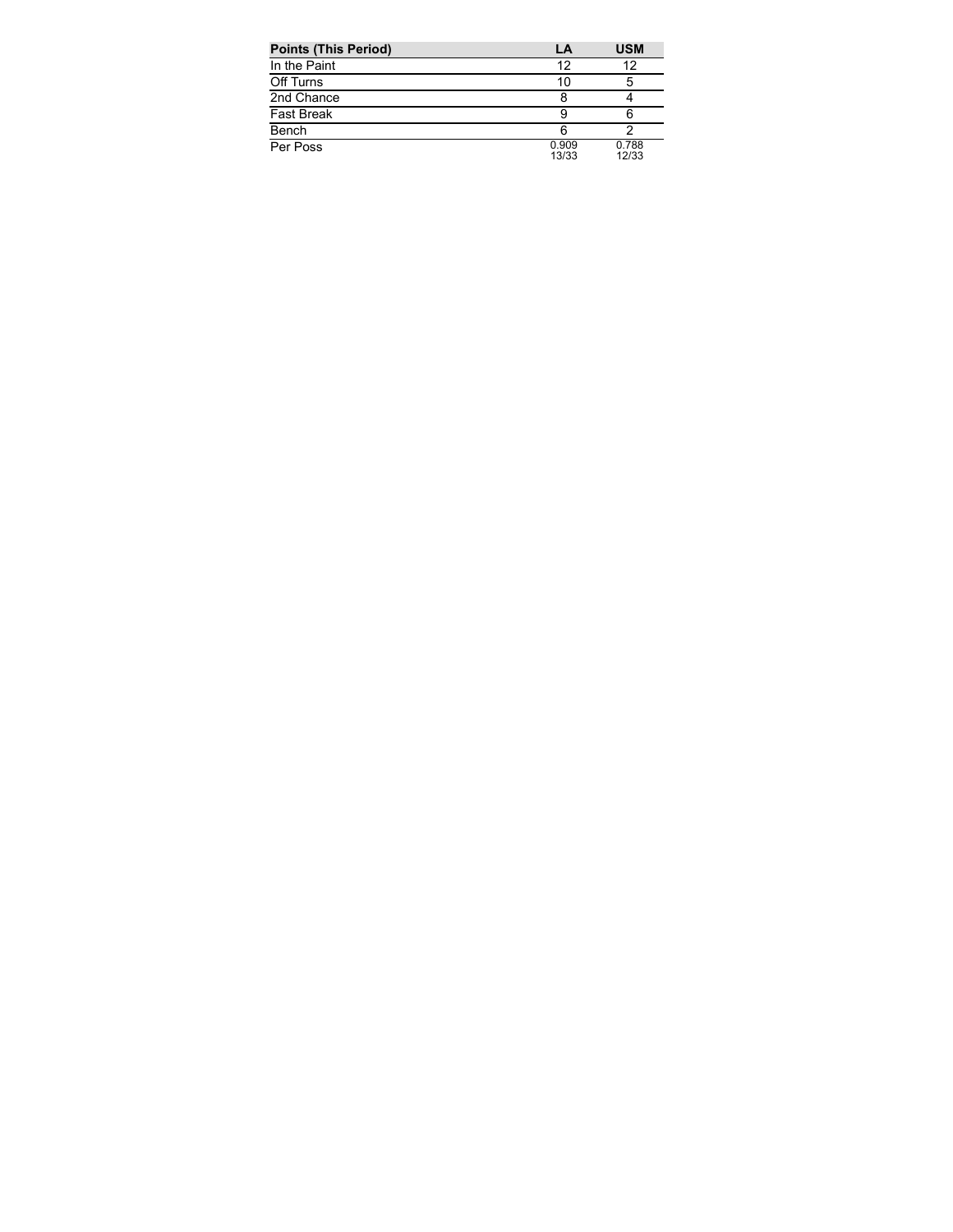| <b>Points (This Period)</b> | LA             | <b>USM</b>     |
|-----------------------------|----------------|----------------|
| In the Paint                | 12             | 12             |
| Off Turns                   | 10             | 5              |
| 2nd Chance                  |                |                |
| <b>Fast Break</b>           |                | 6              |
| Bench                       | 6              |                |
| Per Poss                    | 0.909<br>13/33 | 0.788<br>12/33 |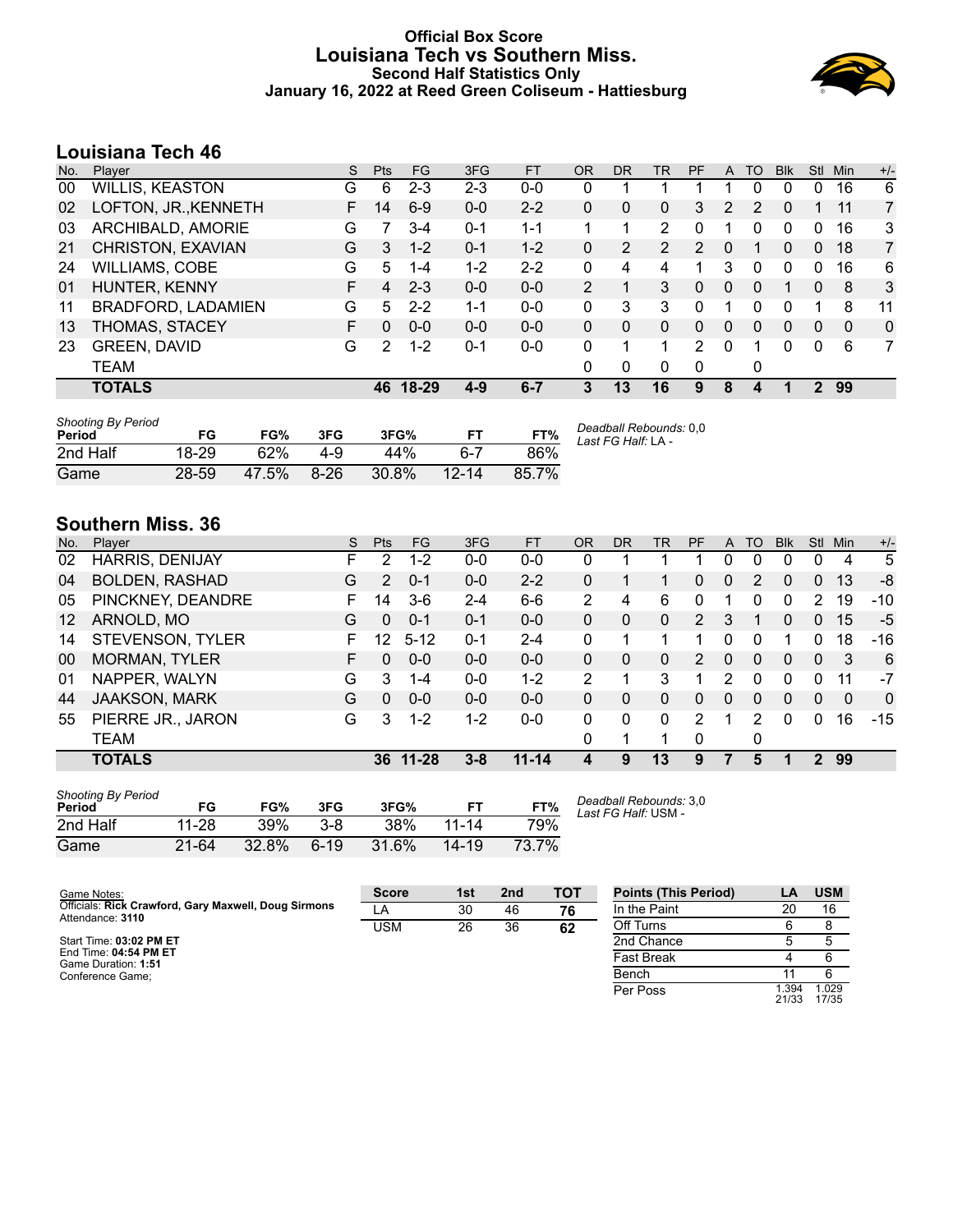### **Official Box Score Louisiana Tech vs Southern Miss. Second Half Statistics Only January 16, 2022 at Reed Green Coliseum - Hattiesburg**



# **Louisiana Tech 46**

| No. | Player                    | S  | Pts | <b>FG</b> | 3FG     | <b>FT</b> | <b>OR</b>    | DR | TR | PF            | A        | TO       | <b>Blk</b> | <b>Stl</b>  | Min      | $+/-$          |
|-----|---------------------------|----|-----|-----------|---------|-----------|--------------|----|----|---------------|----------|----------|------------|-------------|----------|----------------|
| 00  | WILLIS, KEASTON           | G  | 6   | $2 - 3$   | $2 - 3$ | $0-0$     | 0            |    |    |               |          | 0        | 0          | 0           | 16       | 6              |
| 02  | LOFTON, JR., KENNETH      | F. | 14  | $6-9$     | $0 - 0$ | $2 - 2$   | $\mathbf{0}$ | 0  | 0  | 3             | 2        | 2        | 0          | 1.          | 11       | $\overline{7}$ |
| 03  | ARCHIBALD, AMORIE         | G  |     | $3 - 4$   | $0 - 1$ | $1 - 1$   |              |    | 2  | 0             |          | 0        | 0          | $\Omega$    | 16       | 3              |
| 21  | CHRISTON, EXAVIAN         | G  | 3   | $1 - 2$   | $0 - 1$ | $1 - 2$   | 0            | 2  | 2  | 2             | $\Omega$ |          | 0          | 0           | 18       | $\overline{7}$ |
| 24  | <b>WILLIAMS, COBE</b>     | G  | 5   | $1 - 4$   | $1 - 2$ | $2 - 2$   | $\Omega$     | 4  | 4  | 1             | 3        | 0        | 0          | 0           | 16       | 6              |
| 01  | HUNTER, KENNY             | F  | 4   | $2 - 3$   | $0 - 0$ | $0-0$     | 2            |    | 3  | 0             | $\Omega$ | $\Omega$ | 1          | $\Omega$    | 8        | 3              |
| 11  | <b>BRADFORD, LADAMIEN</b> | G  | 5.  | $2 - 2$   | $1 - 1$ | $0 - 0$   | $\Omega$     | 3  | 3  | 0             |          | 0        | 0          |             | 8        | 11             |
| 13  | THOMAS, STACEY            | F  | 0   | $0 - 0$   | $0 - 0$ | $0 - 0$   | $\Omega$     | 0  | 0  | 0             | $\Omega$ | $\Omega$ | 0          | 0           | $\Omega$ | 0              |
| 23  | <b>GREEN, DAVID</b>       | G  | 2   | $1 - 2$   | $0 - 1$ | $0-0$     | $\Omega$     |    |    | $\mathcal{P}$ | $\Omega$ |          | 0          | $\mathbf 0$ | 6        | 7              |
|     | TEAM                      |    |     |           |         |           | 0            | 0  | 0  | 0             |          | 0        |            |             |          |                |
|     | <b>TOTALS</b>             |    | 46. | 18-29     | $4-9$   | $6 - 7$   | 3            | 13 | 16 | 9             | 8        |          |            | 2           | 99       |                |
|     |                           |    |     |           |         |           |              |    |    |               |          |          |            |             |          |                |

| <b>Shooting By Period</b><br>Period | FG    | FG%   | 3FG    | 3FG%  |           | FT%   | Deadball Rebounds: 0,0<br>Last FG Half: LA - |
|-------------------------------------|-------|-------|--------|-------|-----------|-------|----------------------------------------------|
| 2nd Half                            | 18-29 | 62%   | $4-9$  | 44%   | հ-7       | 86%   |                                              |
| Game                                | 28-59 | 47.5% | $8-26$ | 30.8% | $12 - 14$ | 85.7% |                                              |

# **Southern Miss. 36**

| No. | Plaver                 | S  | <b>Pts</b> | <b>FG</b> | 3FG     | <b>FT</b> | <b>OR</b> | DR | TR | PF            | A        | TO       | <b>BIK</b> | Stl      | Min      | $+/-$        |
|-----|------------------------|----|------------|-----------|---------|-----------|-----------|----|----|---------------|----------|----------|------------|----------|----------|--------------|
| 02  | <b>HARRIS, DENIJAY</b> | F. | 2          | $1 - 2$   | $0 - 0$ | $0 - 0$   | 0         |    |    |               | 0        | $\Omega$ | 0          | 0        | 4        | 5            |
| 04  | <b>BOLDEN, RASHAD</b>  | G  | 2          | $0 - 1$   | $0 - 0$ | $2 - 2$   | 0         |    |    | 0             | 0        | 2        | 0          | 0        | 13       | -8           |
| 05  | PINCKNEY, DEANDRE      | F. | 14         | $3-6$     | $2 - 4$ | $6 - 6$   | 2         | 4  | 6  | 0             |          | 0        | 0          | 2        | 19       | $-10$        |
| 12  | ARNOLD, MO             | G  | $\Omega$   | $0 - 1$   | $0 - 1$ | $0-0$     | 0         | 0  | 0  | 2             | 3        |          | 0          | $\Omega$ | 15       | $-5$         |
| 14  | STEVENSON, TYLER       | F. | 12         | $5 - 12$  | $0 - 1$ | $2 - 4$   | 0         |    |    |               | 0        | $\Omega$ |            | 0        | 18       | $-16$        |
| 00  | <b>MORMAN, TYLER</b>   | F. | 0          | $0 - 0$   | $0 - 0$ | $0 - 0$   | 0         | 0  | 0  | $\mathcal{P}$ | $\Omega$ | 0        | 0          | $\Omega$ | 3        | 6            |
| 01  | NAPPER, WALYN          | G  | 3          | $1 - 4$   | $0 - 0$ | $1 - 2$   | 2         |    | 3  |               | 2        | $\Omega$ | 0          | 0        | 11       | $-7$         |
| 44  | <b>JAAKSON, MARK</b>   | G  | 0          | $0 - 0$   | $0 - 0$ | $0 - 0$   | 0         | 0  | 0  | 0             | $\Omega$ | 0        | 0          | $\Omega$ | $\Omega$ | $\mathbf{0}$ |
| 55  | PIERRE JR., JARON      | G  | 3          | $1 - 2$   | $1-2$   | $0-0$     | 0         | 0  | 0  | 2             |          | 2        | 0          | 0        | 16       | $-15$        |
|     | TEAM                   |    |            |           |         |           | 0         |    | 1  | 0             |          | 0        |            |          |          |              |
|     | <b>TOTALS</b>          |    | 36         | $11 - 28$ | $3 - 8$ | $11 - 14$ | 4         | 9  | 13 | 9             |          | 5        |            | 2        | 99       |              |
|     |                        |    |            |           |         |           |           |    |    |               |          |          |            |          |          |              |

| <b>Shooting By Period</b><br>Period | FG    | FG%   | 3FG     | 3FG%       | FТ        | FT%   |
|-------------------------------------|-------|-------|---------|------------|-----------|-------|
| 2nd Half                            | 11-28 | 39%   | $3 - 8$ | <b>38%</b> | 11-14     | 79%   |
| Game                                | 21-64 | 32.8% | $6-19$  | 31.6%      | $14 - 19$ | 73.7% |

*Deadball Rebounds:* 3,0 *Last FG Half:* USM -

| Game Notes:                                                              | <b>Score</b> | 1st | 2 <sub>nd</sub> | <b>TOT</b> | <b>Points (This Period)</b> | ∟Α            | <b>USM</b>     |
|--------------------------------------------------------------------------|--------------|-----|-----------------|------------|-----------------------------|---------------|----------------|
| Officials: Rick Crawford, Gary Maxwell, Doug Sirmons<br>Attendance: 3110 | LA           | 30  | 46              | 76         | In the Paint                | 20            | 16             |
|                                                                          | USM          | 26  | 36              | 62         | Off Turns                   |               |                |
| Start Time: 03:02 PM ET                                                  |              |     |                 |            | 2nd Chance                  |               |                |
| End Time: 04:54 PM ET<br>Game Duration: 1:51                             |              |     |                 |            | <b>Fast Break</b>           |               |                |
| Conference Game:                                                         |              |     |                 |            | Bench                       |               |                |
|                                                                          |              |     |                 |            | Per Poss                    | .394<br>21/33 | 1.029<br>17/35 |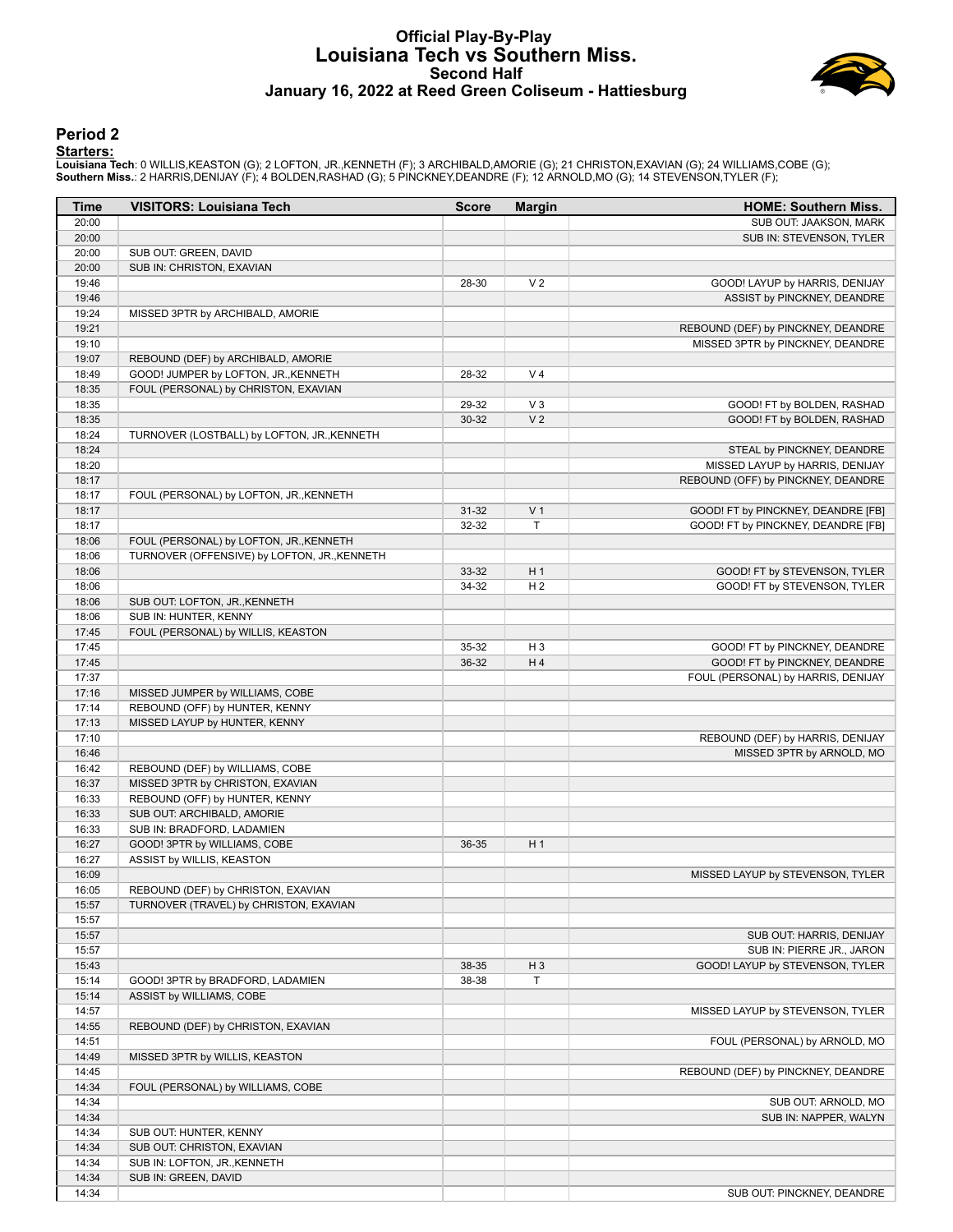#### **Official Play-By-Play Louisiana Tech vs Southern Miss. Second Half January 16, 2022 at Reed Green Coliseum - Hattiesburg**



#### **Period 2**

#### **Starters:**

Louisiana Tech: 0 WILLIS,KEASTON (G); 2 LOFTON, JR.,KENNETH (F); 3 ARCHIBALD,AMORIE (G); 21 CHRISTON,EXAVIAN (G); 24 WILLIAMS,COBE (G);<br>**Southern Miss.**: 2 HARRIS,DENIJAY (F); 4 BOLDEN,RASHAD (G); 5 PINCKNEY,DEANDRE (F); 1

| Time           | <b>VISITORS: Louisiana Tech</b>                                            | <b>Score</b> | <b>Margin</b>  | <b>HOME: Southern Miss.</b>        |
|----------------|----------------------------------------------------------------------------|--------------|----------------|------------------------------------|
| 20:00          |                                                                            |              |                | SUB OUT: JAAKSON, MARK             |
| 20:00          |                                                                            |              |                | SUB IN: STEVENSON, TYLER           |
| 20:00          | SUB OUT: GREEN, DAVID                                                      |              |                |                                    |
| 20:00          | SUB IN: CHRISTON, EXAVIAN                                                  |              |                |                                    |
| 19:46          |                                                                            | 28-30        | V <sub>2</sub> | GOOD! LAYUP by HARRIS, DENIJAY     |
| 19:46          |                                                                            |              |                | ASSIST by PINCKNEY, DEANDRE        |
| 19:24          | MISSED 3PTR by ARCHIBALD, AMORIE                                           |              |                |                                    |
| 19:21          |                                                                            |              |                | REBOUND (DEF) by PINCKNEY, DEANDRE |
| 19:10<br>19:07 |                                                                            |              |                | MISSED 3PTR by PINCKNEY, DEANDRE   |
| 18:49          | REBOUND (DEF) by ARCHIBALD, AMORIE<br>GOOD! JUMPER by LOFTON, JR., KENNETH | 28-32        | V <sub>4</sub> |                                    |
| 18:35          | FOUL (PERSONAL) by CHRISTON, EXAVIAN                                       |              |                |                                    |
| 18:35          |                                                                            | 29-32        | $V_3$          | GOOD! FT by BOLDEN, RASHAD         |
| 18:35          |                                                                            | $30 - 32$    | V <sub>2</sub> | GOOD! FT by BOLDEN, RASHAD         |
| 18:24          | TURNOVER (LOSTBALL) by LOFTON, JR., KENNETH                                |              |                |                                    |
| 18:24          |                                                                            |              |                | STEAL by PINCKNEY, DEANDRE         |
| 18:20          |                                                                            |              |                | MISSED LAYUP by HARRIS, DENIJAY    |
| 18:17          |                                                                            |              |                | REBOUND (OFF) by PINCKNEY, DEANDRE |
| 18:17          | FOUL (PERSONAL) by LOFTON, JR., KENNETH                                    |              |                |                                    |
| 18:17          |                                                                            | $31 - 32$    | V <sub>1</sub> | GOOD! FT by PINCKNEY, DEANDRE [FB] |
| 18:17          |                                                                            | 32-32        | T              | GOOD! FT by PINCKNEY, DEANDRE [FB] |
| 18:06          | FOUL (PERSONAL) by LOFTON, JR., KENNETH                                    |              |                |                                    |
| 18:06          | TURNOVER (OFFENSIVE) by LOFTON, JR., KENNETH                               |              |                |                                    |
| 18:06          |                                                                            | 33-32        | H <sub>1</sub> | GOOD! FT by STEVENSON, TYLER       |
| 18:06          |                                                                            | 34-32        | H <sub>2</sub> | GOOD! FT by STEVENSON, TYLER       |
| 18:06          | SUB OUT: LOFTON, JR., KENNETH                                              |              |                |                                    |
| 18:06          | SUB IN: HUNTER, KENNY                                                      |              |                |                                    |
| 17:45          | FOUL (PERSONAL) by WILLIS, KEASTON                                         |              |                |                                    |
| 17:45          |                                                                            | 35-32        | H <sub>3</sub> | GOOD! FT by PINCKNEY, DEANDRE      |
| 17:45          |                                                                            | 36-32        | H4             | GOOD! FT by PINCKNEY, DEANDRE      |
| 17:37          |                                                                            |              |                | FOUL (PERSONAL) by HARRIS, DENIJAY |
| 17:16          | MISSED JUMPER by WILLIAMS, COBE                                            |              |                |                                    |
| 17:14          | REBOUND (OFF) by HUNTER, KENNY                                             |              |                |                                    |
| 17:13          | MISSED LAYUP by HUNTER, KENNY                                              |              |                |                                    |
| 17:10          |                                                                            |              |                | REBOUND (DEF) by HARRIS, DENIJAY   |
| 16:46<br>16:42 |                                                                            |              |                | MISSED 3PTR by ARNOLD, MO          |
| 16:37          | REBOUND (DEF) by WILLIAMS, COBE<br>MISSED 3PTR by CHRISTON, EXAVIAN        |              |                |                                    |
| 16:33          | REBOUND (OFF) by HUNTER, KENNY                                             |              |                |                                    |
| 16:33          | SUB OUT: ARCHIBALD, AMORIE                                                 |              |                |                                    |
| 16:33          | SUB IN: BRADFORD, LADAMIEN                                                 |              |                |                                    |
| 16:27          | GOOD! 3PTR by WILLIAMS, COBE                                               | 36-35        | H <sub>1</sub> |                                    |
| 16:27          | ASSIST by WILLIS, KEASTON                                                  |              |                |                                    |
| 16:09          |                                                                            |              |                | MISSED LAYUP by STEVENSON, TYLER   |
| 16:05          | REBOUND (DEF) by CHRISTON, EXAVIAN                                         |              |                |                                    |
| 15:57          | TURNOVER (TRAVEL) by CHRISTON, EXAVIAN                                     |              |                |                                    |
| 15:57          |                                                                            |              |                |                                    |
| 15:57          |                                                                            |              |                | SUB OUT: HARRIS, DENIJAY           |
| 15:57          |                                                                            |              |                | SUB IN: PIERRE JR., JARON          |
| 15:43          |                                                                            | 38-35        | $H_3$          | GOOD! LAYUP by STEVENSON, TYLER    |
| 15:14          | GOOD! 3PTR by BRADFORD, LADAMIEN                                           | 38-38        | T              |                                    |
| 15:14          | ASSIST by WILLIAMS, COBE                                                   |              |                |                                    |
| 14:57          |                                                                            |              |                | MISSED LAYUP by STEVENSON, TYLER   |
| 14:55          | REBOUND (DEF) by CHRISTON, EXAVIAN                                         |              |                |                                    |
| 14:51          |                                                                            |              |                | FOUL (PERSONAL) by ARNOLD, MO      |
| 14:49          | MISSED 3PTR by WILLIS, KEASTON                                             |              |                |                                    |
| 14:45          |                                                                            |              |                | REBOUND (DEF) by PINCKNEY, DEANDRE |
| 14:34          | FOUL (PERSONAL) by WILLIAMS, COBE                                          |              |                |                                    |
| 14:34          |                                                                            |              |                | SUB OUT: ARNOLD, MO                |
| 14:34          |                                                                            |              |                | SUB IN: NAPPER, WALYN              |
| 14:34          | SUB OUT: HUNTER, KENNY                                                     |              |                |                                    |
| 14:34          | SUB OUT: CHRISTON, EXAVIAN                                                 |              |                |                                    |
| 14:34          | SUB IN: LOFTON, JR., KENNETH                                               |              |                |                                    |
| 14:34          | SUB IN: GREEN, DAVID                                                       |              |                |                                    |
| 14:34          |                                                                            |              |                | SUB OUT: PINCKNEY, DEANDRE         |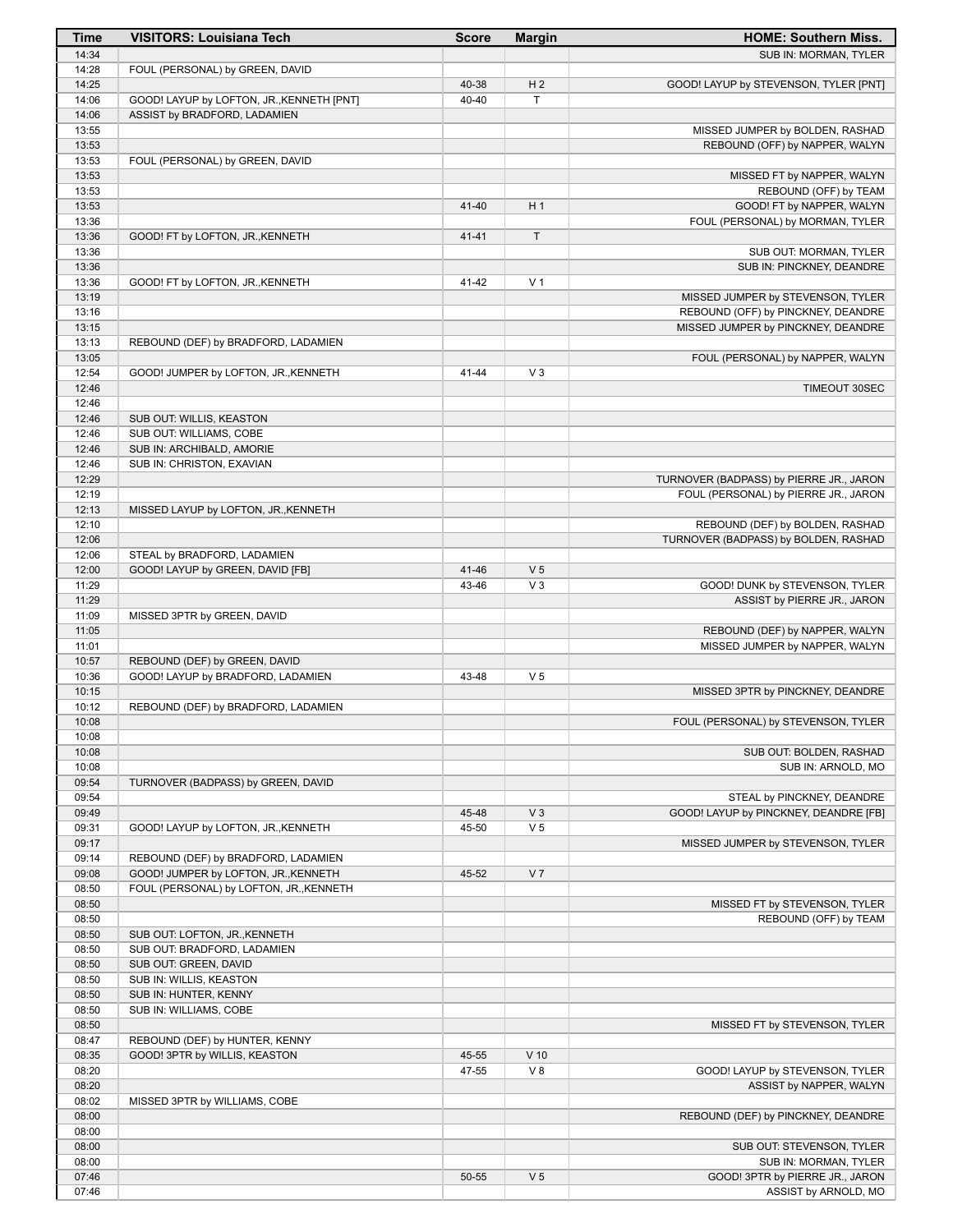| Time           | <b>VISITORS: Louisiana Tech</b>                                                 | <b>Score</b>   | <b>Margin</b>           | <b>HOME: Southern Miss.</b>                                       |
|----------------|---------------------------------------------------------------------------------|----------------|-------------------------|-------------------------------------------------------------------|
| 14:34          |                                                                                 |                |                         | SUB IN: MORMAN, TYLER                                             |
| 14:28          | FOUL (PERSONAL) by GREEN, DAVID                                                 |                |                         |                                                                   |
| 14:25          |                                                                                 | 40-38          | H <sub>2</sub>          | GOOD! LAYUP by STEVENSON, TYLER [PNT]                             |
| 14:06          | GOOD! LAYUP by LOFTON, JR., KENNETH [PNT]                                       | 40-40          | T.                      |                                                                   |
| 14:06          | ASSIST by BRADFORD, LADAMIEN                                                    |                |                         |                                                                   |
| 13:55<br>13:53 |                                                                                 |                |                         | MISSED JUMPER by BOLDEN, RASHAD<br>REBOUND (OFF) by NAPPER, WALYN |
| 13:53          | FOUL (PERSONAL) by GREEN, DAVID                                                 |                |                         |                                                                   |
| 13:53          |                                                                                 |                |                         | MISSED FT by NAPPER, WALYN                                        |
| 13:53          |                                                                                 |                |                         | REBOUND (OFF) by TEAM                                             |
| 13:53          |                                                                                 | 41-40          | H <sub>1</sub>          | GOOD! FT by NAPPER, WALYN                                         |
| 13:36          |                                                                                 |                |                         | FOUL (PERSONAL) by MORMAN, TYLER                                  |
| 13:36          | GOOD! FT by LOFTON, JR., KENNETH                                                | $41 - 41$      | T                       |                                                                   |
| 13:36          |                                                                                 |                |                         | SUB OUT: MORMAN, TYLER                                            |
| 13:36          |                                                                                 |                | V <sub>1</sub>          | SUB IN: PINCKNEY, DEANDRE                                         |
| 13:36<br>13:19 | GOOD! FT by LOFTON, JR., KENNETH                                                | 41-42          |                         | MISSED JUMPER by STEVENSON, TYLER                                 |
| 13:16          |                                                                                 |                |                         | REBOUND (OFF) by PINCKNEY, DEANDRE                                |
| 13:15          |                                                                                 |                |                         | MISSED JUMPER by PINCKNEY, DEANDRE                                |
| 13:13          | REBOUND (DEF) by BRADFORD, LADAMIEN                                             |                |                         |                                                                   |
| 13:05          |                                                                                 |                |                         | FOUL (PERSONAL) by NAPPER, WALYN                                  |
| 12:54          | GOOD! JUMPER by LOFTON, JR., KENNETH                                            | 41-44          | V <sub>3</sub>          |                                                                   |
| 12:46          |                                                                                 |                |                         | TIMEOUT 30SEC                                                     |
| 12:46          |                                                                                 |                |                         |                                                                   |
| 12:46          | SUB OUT: WILLIS, KEASTON<br>SUB OUT: WILLIAMS, COBE                             |                |                         |                                                                   |
| 12:46<br>12:46 | SUB IN: ARCHIBALD, AMORIE                                                       |                |                         |                                                                   |
| 12:46          | SUB IN: CHRISTON, EXAVIAN                                                       |                |                         |                                                                   |
| 12:29          |                                                                                 |                |                         | TURNOVER (BADPASS) by PIERRE JR., JARON                           |
| 12:19          |                                                                                 |                |                         | FOUL (PERSONAL) by PIERRE JR., JARON                              |
| 12:13          | MISSED LAYUP by LOFTON, JR., KENNETH                                            |                |                         |                                                                   |
| 12:10          |                                                                                 |                |                         | REBOUND (DEF) by BOLDEN, RASHAD                                   |
| 12:06          |                                                                                 |                |                         | TURNOVER (BADPASS) by BOLDEN, RASHAD                              |
| 12:06          | STEAL by BRADFORD, LADAMIEN                                                     |                |                         |                                                                   |
| 12:00<br>11:29 | GOOD! LAYUP by GREEN, DAVID [FB]                                                | 41-46<br>43-46 | V <sub>5</sub><br>$V_3$ | GOOD! DUNK by STEVENSON, TYLER                                    |
| 11:29          |                                                                                 |                |                         | ASSIST by PIERRE JR., JARON                                       |
| 11:09          | MISSED 3PTR by GREEN, DAVID                                                     |                |                         |                                                                   |
| 11:05          |                                                                                 |                |                         | REBOUND (DEF) by NAPPER, WALYN                                    |
| 11:01          |                                                                                 |                |                         | MISSED JUMPER by NAPPER, WALYN                                    |
| 10:57          | REBOUND (DEF) by GREEN, DAVID                                                   |                |                         |                                                                   |
| 10:36          | GOOD! LAYUP by BRADFORD, LADAMIEN                                               | 43-48          | V <sub>5</sub>          |                                                                   |
| 10:15          |                                                                                 |                |                         | MISSED 3PTR by PINCKNEY, DEANDRE                                  |
| 10:12          | REBOUND (DEF) by BRADFORD, LADAMIEN                                             |                |                         |                                                                   |
| 10:08<br>10:08 |                                                                                 |                |                         | FOUL (PERSONAL) by STEVENSON, TYLER                               |
| 10:08          |                                                                                 |                |                         | SUB OUT: BOLDEN, RASHAD                                           |
| 10:08          |                                                                                 |                |                         | SUB IN: ARNOLD, MO                                                |
| 09:54          | TURNOVER (BADPASS) by GREEN, DAVID                                              |                |                         |                                                                   |
| 09:54          |                                                                                 |                |                         | STEAL by PINCKNEY, DEANDRE                                        |
| 09:49          |                                                                                 | 45-48          | $V_3$                   | GOOD! LAYUP by PINCKNEY, DEANDRE [FB]                             |
| 09:31          | GOOD! LAYUP by LOFTON, JR., KENNETH                                             | 45-50          | V <sub>5</sub>          |                                                                   |
| 09:17          |                                                                                 |                |                         | MISSED JUMPER by STEVENSON, TYLER                                 |
| 09:14          | REBOUND (DEF) by BRADFORD, LADAMIEN                                             |                | V <sub>7</sub>          |                                                                   |
| 09:08<br>08:50 | GOOD! JUMPER by LOFTON, JR., KENNETH<br>FOUL (PERSONAL) by LOFTON, JR., KENNETH | 45-52          |                         |                                                                   |
| 08:50          |                                                                                 |                |                         | MISSED FT by STEVENSON, TYLER                                     |
| 08:50          |                                                                                 |                |                         | REBOUND (OFF) by TEAM                                             |
| 08:50          | SUB OUT: LOFTON, JR., KENNETH                                                   |                |                         |                                                                   |
| 08:50          | SUB OUT: BRADFORD, LADAMIEN                                                     |                |                         |                                                                   |
| 08:50          | SUB OUT: GREEN, DAVID                                                           |                |                         |                                                                   |
| 08:50          | SUB IN: WILLIS, KEASTON                                                         |                |                         |                                                                   |
| 08:50          | SUB IN: HUNTER, KENNY                                                           |                |                         |                                                                   |
| 08:50<br>08:50 | SUB IN: WILLIAMS, COBE                                                          |                |                         | MISSED FT by STEVENSON, TYLER                                     |
| 08:47          | REBOUND (DEF) by HUNTER, KENNY                                                  |                |                         |                                                                   |
| 08:35          | GOOD! 3PTR by WILLIS, KEASTON                                                   | 45-55          | $V$ 10                  |                                                                   |
| 08:20          |                                                                                 | 47-55          | V8                      | GOOD! LAYUP by STEVENSON, TYLER                                   |
| 08:20          |                                                                                 |                |                         | ASSIST by NAPPER, WALYN                                           |
| 08:02          | MISSED 3PTR by WILLIAMS, COBE                                                   |                |                         |                                                                   |
| 08:00          |                                                                                 |                |                         | REBOUND (DEF) by PINCKNEY, DEANDRE                                |
| 08:00          |                                                                                 |                |                         |                                                                   |
| 08:00          |                                                                                 |                |                         | SUB OUT: STEVENSON, TYLER                                         |
| 08:00<br>07:46 |                                                                                 | 50-55          | V <sub>5</sub>          | SUB IN: MORMAN, TYLER<br>GOOD! 3PTR by PIERRE JR., JARON          |
| 07:46          |                                                                                 |                |                         | ASSIST by ARNOLD, MO                                              |
|                |                                                                                 |                |                         |                                                                   |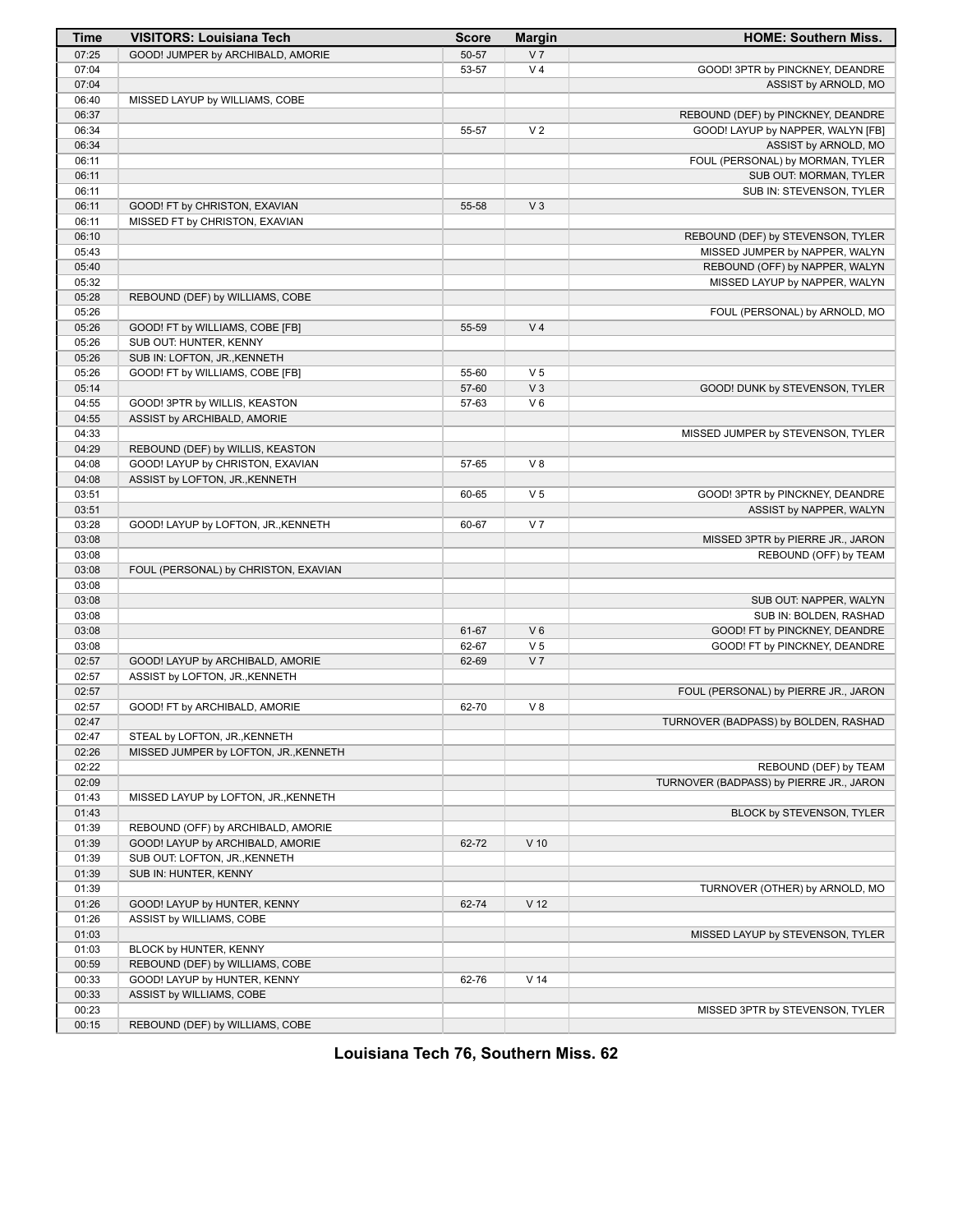| Time  | <b>VISITORS: Louisiana Tech</b>       | <b>Score</b> | <b>Margin</b>   | <b>HOME: Southern Miss.</b>             |
|-------|---------------------------------------|--------------|-----------------|-----------------------------------------|
| 07:25 | GOOD! JUMPER by ARCHIBALD, AMORIE     | 50-57        | V <sub>7</sub>  |                                         |
| 07:04 |                                       | 53-57        | V <sub>4</sub>  | GOOD! 3PTR by PINCKNEY, DEANDRE         |
| 07:04 |                                       |              |                 | ASSIST by ARNOLD, MO                    |
| 06:40 | MISSED LAYUP by WILLIAMS, COBE        |              |                 |                                         |
| 06:37 |                                       |              |                 | REBOUND (DEF) by PINCKNEY, DEANDRE      |
| 06:34 |                                       | 55-57        | V <sub>2</sub>  | GOOD! LAYUP by NAPPER, WALYN [FB]       |
| 06:34 |                                       |              |                 | ASSIST by ARNOLD, MO                    |
| 06:11 |                                       |              |                 | FOUL (PERSONAL) by MORMAN, TYLER        |
| 06:11 |                                       |              |                 | SUB OUT: MORMAN, TYLER                  |
| 06:11 |                                       |              |                 | SUB IN: STEVENSON, TYLER                |
| 06:11 | GOOD! FT by CHRISTON, EXAVIAN         | 55-58        | V <sub>3</sub>  |                                         |
| 06:11 | MISSED FT by CHRISTON, EXAVIAN        |              |                 |                                         |
| 06:10 |                                       |              |                 | REBOUND (DEF) by STEVENSON, TYLER       |
| 05:43 |                                       |              |                 |                                         |
|       |                                       |              |                 | MISSED JUMPER by NAPPER, WALYN          |
| 05:40 |                                       |              |                 | REBOUND (OFF) by NAPPER, WALYN          |
| 05:32 |                                       |              |                 | MISSED LAYUP by NAPPER, WALYN           |
| 05:28 | REBOUND (DEF) by WILLIAMS, COBE       |              |                 |                                         |
| 05:26 |                                       |              |                 | FOUL (PERSONAL) by ARNOLD, MO           |
| 05:26 | GOOD! FT by WILLIAMS, COBE [FB]       | 55-59        | V <sub>4</sub>  |                                         |
| 05:26 | SUB OUT: HUNTER, KENNY                |              |                 |                                         |
| 05:26 | SUB IN: LOFTON, JR., KENNETH          |              |                 |                                         |
| 05:26 | GOOD! FT by WILLIAMS, COBE [FB]       | 55-60        | V <sub>5</sub>  |                                         |
| 05:14 |                                       | 57-60        | V <sub>3</sub>  | GOOD! DUNK by STEVENSON, TYLER          |
| 04:55 | GOOD! 3PTR by WILLIS, KEASTON         | 57-63        | $V_6$           |                                         |
| 04:55 | ASSIST by ARCHIBALD, AMORIE           |              |                 |                                         |
| 04:33 |                                       |              |                 | MISSED JUMPER by STEVENSON, TYLER       |
| 04:29 | REBOUND (DEF) by WILLIS, KEASTON      |              |                 |                                         |
| 04:08 | GOOD! LAYUP by CHRISTON, EXAVIAN      | 57-65        | V8              |                                         |
| 04:08 | ASSIST by LOFTON, JR., KENNETH        |              |                 |                                         |
| 03:51 |                                       | 60-65        | V <sub>5</sub>  | GOOD! 3PTR by PINCKNEY, DEANDRE         |
| 03:51 |                                       |              |                 | ASSIST by NAPPER, WALYN                 |
| 03:28 | GOOD! LAYUP by LOFTON, JR., KENNETH   | 60-67        | V <sub>7</sub>  |                                         |
| 03:08 |                                       |              |                 | MISSED 3PTR by PIERRE JR., JARON        |
| 03:08 |                                       |              |                 | REBOUND (OFF) by TEAM                   |
| 03:08 | FOUL (PERSONAL) by CHRISTON, EXAVIAN  |              |                 |                                         |
| 03:08 |                                       |              |                 |                                         |
| 03:08 |                                       |              |                 | SUB OUT: NAPPER, WALYN                  |
| 03:08 |                                       |              |                 | SUB IN: BOLDEN, RASHAD                  |
| 03:08 |                                       | 61-67        | $V_6$           |                                         |
|       |                                       |              |                 | GOOD! FT by PINCKNEY, DEANDRE           |
| 03:08 |                                       | 62-67        | V <sub>5</sub>  | GOOD! FT by PINCKNEY, DEANDRE           |
| 02:57 | GOOD! LAYUP by ARCHIBALD, AMORIE      | 62-69        | V <sub>7</sub>  |                                         |
| 02:57 | ASSIST by LOFTON, JR., KENNETH        |              |                 |                                         |
| 02:57 |                                       |              |                 | FOUL (PERSONAL) by PIERRE JR., JARON    |
| 02:57 | GOOD! FT by ARCHIBALD, AMORIE         | 62-70        | V8              |                                         |
| 02:47 |                                       |              |                 | TURNOVER (BADPASS) by BOLDEN, RASHAD    |
| 02:47 | STEAL by LOFTON, JR., KENNETH         |              |                 |                                         |
| 02:26 | MISSED JUMPER by LOFTON, JR., KENNETH |              |                 |                                         |
| 02:22 |                                       |              |                 | REBOUND (DEF) by TEAM                   |
| 02:09 |                                       |              |                 | TURNOVER (BADPASS) by PIERRE JR., JARON |
| 01:43 | MISSED LAYUP by LOFTON, JR., KENNETH  |              |                 |                                         |
| 01:43 |                                       |              |                 | BLOCK by STEVENSON, TYLER               |
| 01:39 | REBOUND (OFF) by ARCHIBALD, AMORIE    |              |                 |                                         |
| 01:39 | GOOD! LAYUP by ARCHIBALD, AMORIE      | 62-72        | $V$ 10          |                                         |
| 01:39 | SUB OUT: LOFTON, JR., KENNETH         |              |                 |                                         |
| 01:39 | SUB IN: HUNTER, KENNY                 |              |                 |                                         |
| 01:39 |                                       |              |                 | TURNOVER (OTHER) by ARNOLD, MO          |
| 01:26 | GOOD! LAYUP by HUNTER, KENNY          | 62-74        | V <sub>12</sub> |                                         |
| 01:26 | ASSIST by WILLIAMS, COBE              |              |                 |                                         |
| 01:03 |                                       |              |                 | MISSED LAYUP by STEVENSON, TYLER        |
| 01:03 | BLOCK by HUNTER, KENNY                |              |                 |                                         |
| 00:59 | REBOUND (DEF) by WILLIAMS, COBE       |              |                 |                                         |
| 00:33 | GOOD! LAYUP by HUNTER, KENNY          | 62-76        | V <sub>14</sub> |                                         |
| 00:33 | ASSIST by WILLIAMS, COBE              |              |                 |                                         |
| 00:23 |                                       |              |                 | MISSED 3PTR by STEVENSON, TYLER         |
| 00:15 | REBOUND (DEF) by WILLIAMS, COBE       |              |                 |                                         |
|       |                                       |              |                 |                                         |

**Louisiana Tech 76, Southern Miss. 62**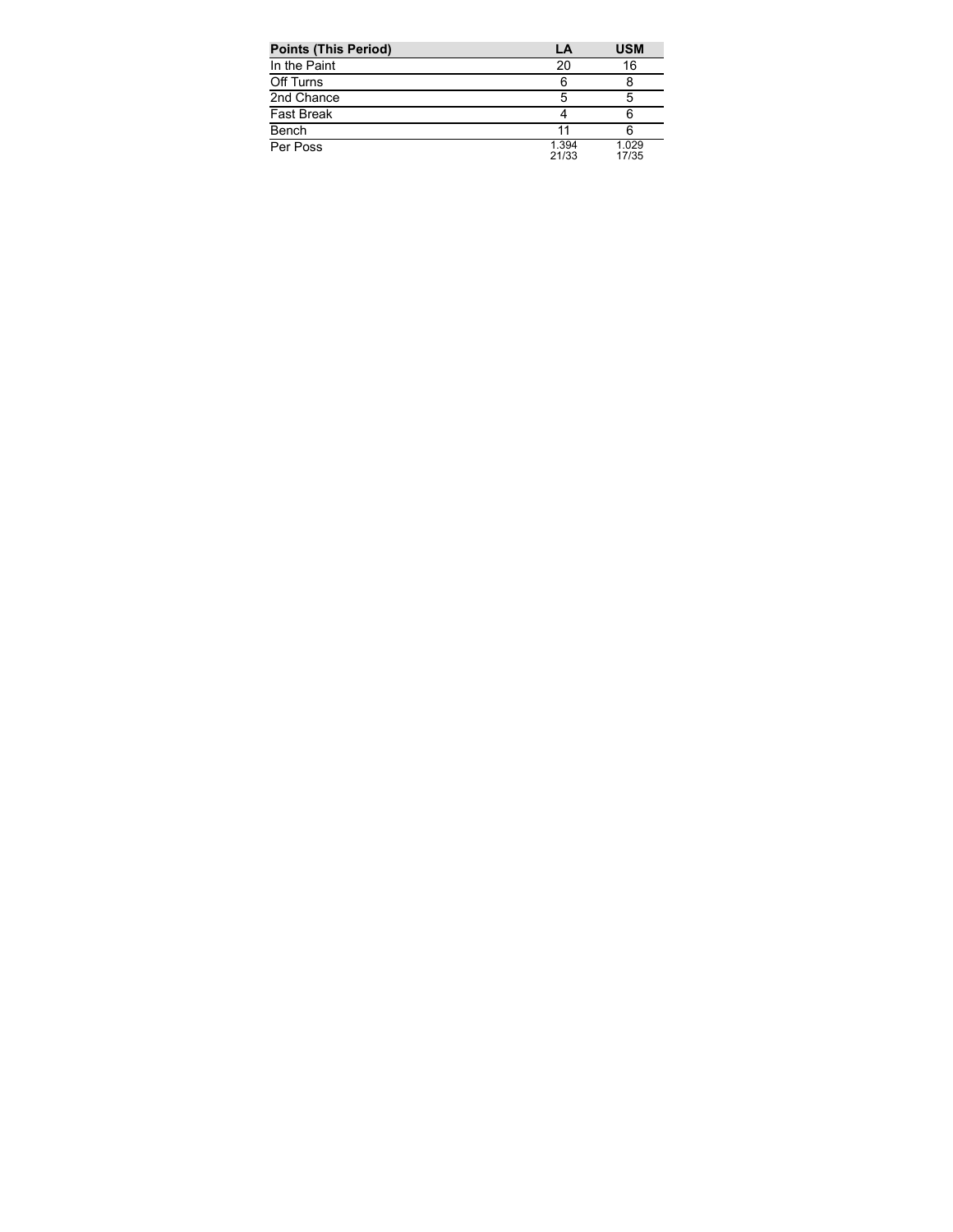| <b>Points (This Period)</b> | LA             | <b>USM</b>     |
|-----------------------------|----------------|----------------|
| In the Paint                | 20             | 16             |
| Off Turns                   | 6              |                |
| 2nd Chance                  | 5              | 5              |
| <b>Fast Break</b>           |                | 6              |
| Bench                       |                |                |
| Per Poss                    | 1.394<br>21/33 | 1.029<br>17/35 |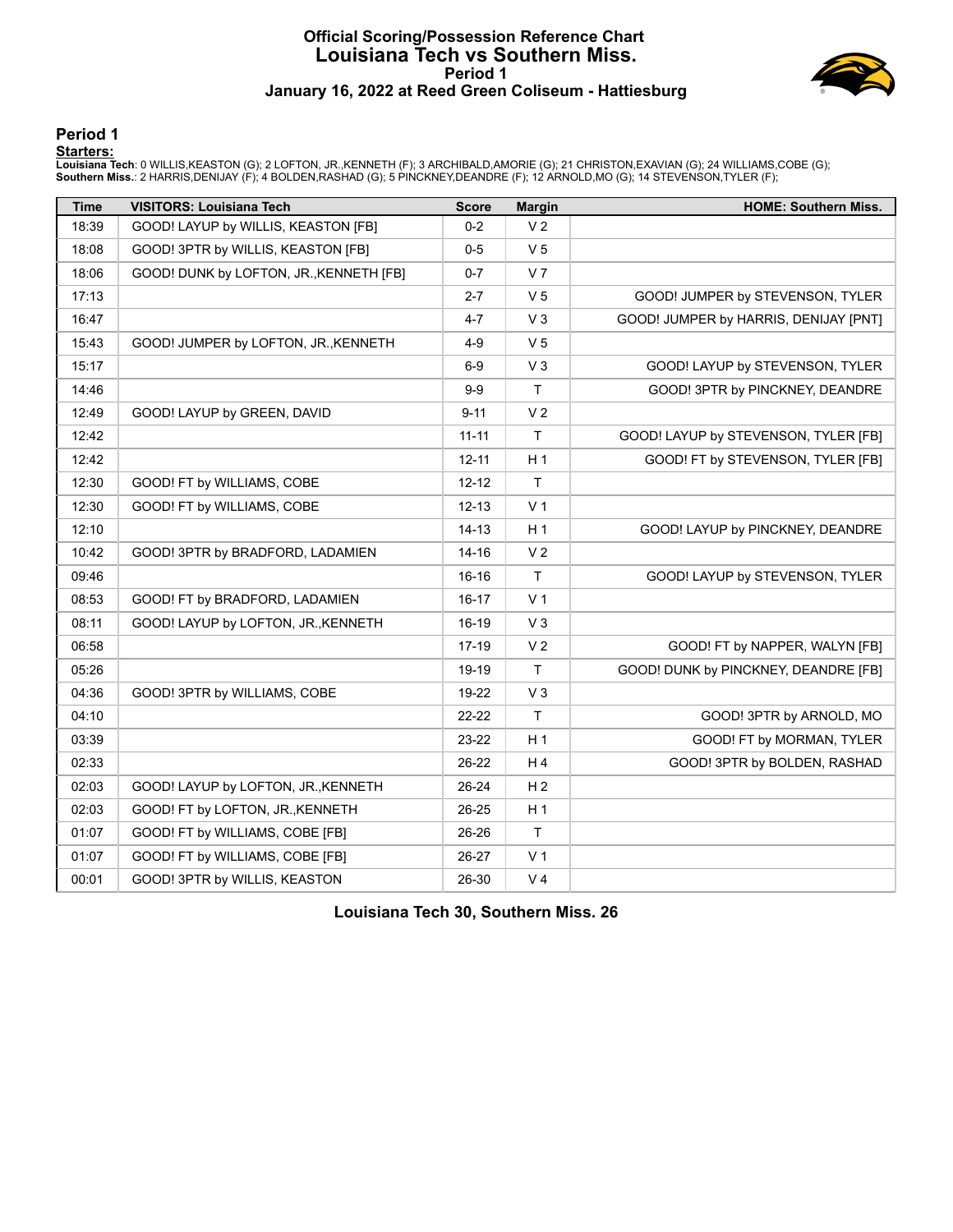#### **Official Scoring/Possession Reference Chart Louisiana Tech vs Southern Miss. Period 1 January 16, 2022 at Reed Green Coliseum - Hattiesburg**



#### **Period 1**

#### **Starters:**

Louisiana Tech: 0 WILLIS,KEASTON (G); 2 LOFTON, JR.,KENNETH (F); 3 ARCHIBALD,AMORIE (G); 21 CHRISTON,EXAVIAN (G); 24 WILLIAMS,COBE (G);<br>**Southern Miss.**: 2 HARRIS,DENIJAY (F); 4 BOLDEN,RASHAD (G); 5 PINCKNEY,DEANDRE (F); 1

| <b>Time</b> | <b>VISITORS: Louisiana Tech</b>         | <b>Score</b> | <b>Margin</b>  | <b>HOME: Southern Miss.</b>           |
|-------------|-----------------------------------------|--------------|----------------|---------------------------------------|
| 18:39       | GOOD! LAYUP by WILLIS, KEASTON [FB]     | $0 - 2$      | V <sub>2</sub> |                                       |
| 18:08       | GOOD! 3PTR by WILLIS, KEASTON [FB]      | $0-5$        | V <sub>5</sub> |                                       |
| 18:06       | GOOD! DUNK by LOFTON, JR., KENNETH [FB] | $0 - 7$      | V <sub>7</sub> |                                       |
| 17:13       |                                         | $2 - 7$      | V <sub>5</sub> | GOOD! JUMPER by STEVENSON, TYLER      |
| 16:47       |                                         | $4 - 7$      | $V_3$          | GOOD! JUMPER by HARRIS, DENIJAY [PNT] |
| 15:43       | GOOD! JUMPER by LOFTON, JR., KENNETH    | $4 - 9$      | V <sub>5</sub> |                                       |
| 15:17       |                                         | $6-9$        | $V_3$          | GOOD! LAYUP by STEVENSON, TYLER       |
| 14:46       |                                         | $9-9$        | $\mathsf{T}$   | GOOD! 3PTR by PINCKNEY, DEANDRE       |
| 12:49       | GOOD! LAYUP by GREEN, DAVID             | $9 - 11$     | V <sub>2</sub> |                                       |
| 12:42       |                                         | $11 - 11$    | $\mathsf{T}$   | GOOD! LAYUP by STEVENSON, TYLER [FB]  |
| 12:42       |                                         | $12 - 11$    | H <sub>1</sub> | GOOD! FT by STEVENSON, TYLER [FB]     |
| 12:30       | GOOD! FT by WILLIAMS, COBE              | $12 - 12$    | T              |                                       |
| 12:30       | GOOD! FT by WILLIAMS, COBE              | $12 - 13$    | V <sub>1</sub> |                                       |
| 12:10       |                                         | $14 - 13$    | H <sub>1</sub> | GOOD! LAYUP by PINCKNEY, DEANDRE      |
| 10:42       | GOOD! 3PTR by BRADFORD, LADAMIEN        | $14 - 16$    | V <sub>2</sub> |                                       |
| 09:46       |                                         | $16-16$      | T              | GOOD! LAYUP by STEVENSON, TYLER       |
| 08:53       | GOOD! FT by BRADFORD, LADAMIEN          | $16 - 17$    | V <sub>1</sub> |                                       |
| 08:11       | GOOD! LAYUP by LOFTON, JR., KENNETH     | 16-19        | V <sub>3</sub> |                                       |
| 06:58       |                                         | $17-19$      | V <sub>2</sub> | GOOD! FT by NAPPER, WALYN [FB]        |
| 05:26       |                                         | 19-19        | T              | GOOD! DUNK by PINCKNEY, DEANDRE [FB]  |
| 04:36       | GOOD! 3PTR by WILLIAMS, COBE            | 19-22        | V <sub>3</sub> |                                       |
| 04:10       |                                         | 22-22        | T              | GOOD! 3PTR by ARNOLD, MO              |
| 03:39       |                                         | 23-22        | H <sub>1</sub> | GOOD! FT by MORMAN, TYLER             |
| 02:33       |                                         | 26-22        | H <sub>4</sub> | GOOD! 3PTR by BOLDEN, RASHAD          |
| 02:03       | GOOD! LAYUP by LOFTON, JR., KENNETH     | 26-24        | H <sub>2</sub> |                                       |
| 02:03       | GOOD! FT by LOFTON, JR., KENNETH        | 26-25        | H <sub>1</sub> |                                       |
| 01:07       | GOOD! FT by WILLIAMS, COBE [FB]         | 26-26        | T              |                                       |
| 01:07       | GOOD! FT by WILLIAMS, COBE [FB]         | 26-27        | V <sub>1</sub> |                                       |
| 00:01       | GOOD! 3PTR by WILLIS, KEASTON           | 26-30        | V <sub>4</sub> |                                       |

**Louisiana Tech 30, Southern Miss. 26**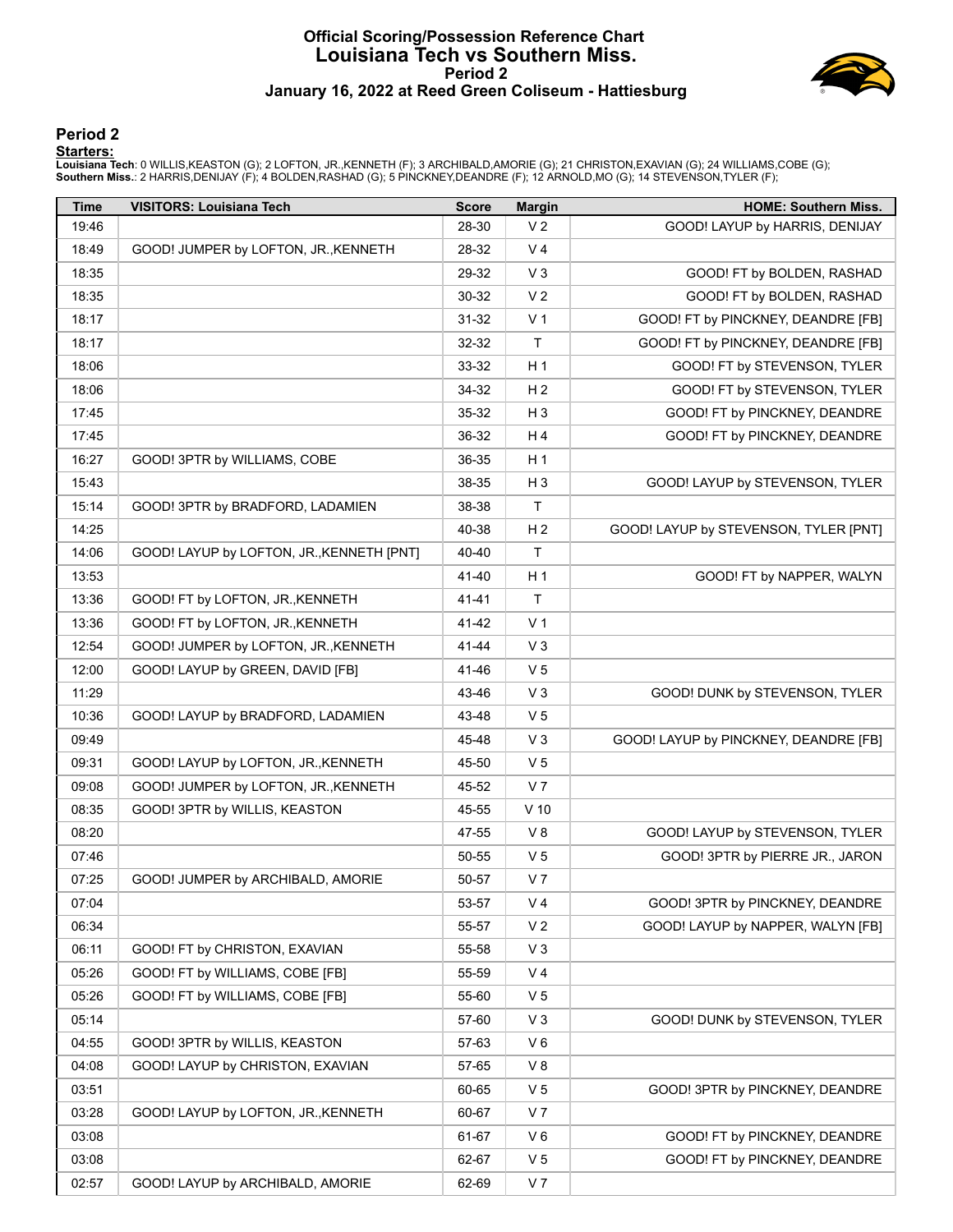#### **Official Scoring/Possession Reference Chart Louisiana Tech vs Southern Miss. Period 2 January 16, 2022 at Reed Green Coliseum - Hattiesburg**



#### **Period 2**

#### **Starters:**

Louisiana Tech: 0 WILLIS,KEASTON (G); 2 LOFTON, JR.,KENNETH (F); 3 ARCHIBALD,AMORIE (G); 21 CHRISTON,EXAVIAN (G); 24 WILLIAMS,COBE (G);<br>**Southern Miss.**: 2 HARRIS,DENIJAY (F); 4 BOLDEN,RASHAD (G); 5 PINCKNEY,DEANDRE (F); 1

| <b>Time</b> | <b>VISITORS: Louisiana Tech</b>           | <b>Score</b> | <b>Margin</b>  | <b>HOME: Southern Miss.</b>           |
|-------------|-------------------------------------------|--------------|----------------|---------------------------------------|
| 19:46       |                                           | 28-30        | V <sub>2</sub> | GOOD! LAYUP by HARRIS, DENIJAY        |
| 18:49       | GOOD! JUMPER by LOFTON, JR., KENNETH      | 28-32        | V <sub>4</sub> |                                       |
| 18:35       |                                           | 29-32        | $V_3$          | GOOD! FT by BOLDEN, RASHAD            |
| 18:35       |                                           | 30-32        | V <sub>2</sub> | GOOD! FT by BOLDEN, RASHAD            |
| 18:17       |                                           | 31-32        | V <sub>1</sub> | GOOD! FT by PINCKNEY, DEANDRE [FB]    |
| 18:17       |                                           | 32-32        | $\mathsf{T}$   | GOOD! FT by PINCKNEY, DEANDRE [FB]    |
| 18:06       |                                           | 33-32        | H <sub>1</sub> | GOOD! FT by STEVENSON, TYLER          |
| 18:06       |                                           | 34-32        | H <sub>2</sub> | GOOD! FT by STEVENSON, TYLER          |
| 17:45       |                                           | 35-32        | $H_3$          | GOOD! FT by PINCKNEY, DEANDRE         |
| 17:45       |                                           | 36-32        | H4             | GOOD! FT by PINCKNEY, DEANDRE         |
| 16:27       | GOOD! 3PTR by WILLIAMS, COBE              | 36-35        | H <sub>1</sub> |                                       |
| 15:43       |                                           | 38-35        | $H_3$          | GOOD! LAYUP by STEVENSON, TYLER       |
| 15:14       | GOOD! 3PTR by BRADFORD, LADAMIEN          | 38-38        | $\mathsf{T}$   |                                       |
| 14:25       |                                           | 40-38        | H <sub>2</sub> | GOOD! LAYUP by STEVENSON, TYLER [PNT] |
| 14:06       | GOOD! LAYUP by LOFTON, JR., KENNETH [PNT] | 40-40        | T.             |                                       |
| 13:53       |                                           | 41-40        | H <sub>1</sub> | GOOD! FT by NAPPER, WALYN             |
| 13:36       | GOOD! FT by LOFTON, JR., KENNETH          | $41 - 41$    | $\mathsf{T}$   |                                       |
| 13:36       | GOOD! FT by LOFTON, JR., KENNETH          | 41-42        | V <sub>1</sub> |                                       |
| 12:54       | GOOD! JUMPER by LOFTON, JR., KENNETH      | 41-44        | $V_3$          |                                       |
| 12:00       | GOOD! LAYUP by GREEN, DAVID [FB]          | 41-46        | V <sub>5</sub> |                                       |
| 11:29       |                                           | 43-46        | $V_3$          | GOOD! DUNK by STEVENSON, TYLER        |
| 10:36       | GOOD! LAYUP by BRADFORD, LADAMIEN         | 43-48        | V <sub>5</sub> |                                       |
| 09:49       |                                           | 45-48        | $V_3$          | GOOD! LAYUP by PINCKNEY, DEANDRE [FB] |
| 09:31       | GOOD! LAYUP by LOFTON, JR., KENNETH       | 45-50        | V <sub>5</sub> |                                       |
| 09:08       | GOOD! JUMPER by LOFTON, JR., KENNETH      | 45-52        | V <sub>7</sub> |                                       |
| 08:35       | GOOD! 3PTR by WILLIS, KEASTON             | 45-55        | $V$ 10         |                                       |
| 08:20       |                                           | 47-55        | V8             | GOOD! LAYUP by STEVENSON, TYLER       |
| 07:46       |                                           | 50-55        | V <sub>5</sub> | GOOD! 3PTR by PIERRE JR., JARON       |
| 07:25       | GOOD! JUMPER by ARCHIBALD, AMORIE         | 50-57        | V <sub>7</sub> |                                       |
| 07:04       |                                           | 53-57        | V <sub>4</sub> | GOOD! 3PTR by PINCKNEY, DEANDRE       |
| 06:34       |                                           | 55-57        | V <sub>2</sub> | GOOD! LAYUP by NAPPER, WALYN [FB]     |
| 06:11       | GOOD! FT by CHRISTON, EXAVIAN             | 55-58        | V <sub>3</sub> |                                       |
| 05:26       | GOOD! FT by WILLIAMS, COBE [FB]           | 55-59        | V <sub>4</sub> |                                       |
| 05:26       | GOOD! FT by WILLIAMS, COBE [FB]           | 55-60        | V <sub>5</sub> |                                       |
| 05:14       |                                           | 57-60        | V <sub>3</sub> | GOOD! DUNK by STEVENSON, TYLER        |
| 04:55       | GOOD! 3PTR by WILLIS, KEASTON             | 57-63        | $V_6$          |                                       |
| 04:08       | GOOD! LAYUP by CHRISTON, EXAVIAN          | 57-65        | V8             |                                       |
| 03:51       |                                           | 60-65        | V <sub>5</sub> | GOOD! 3PTR by PINCKNEY, DEANDRE       |
| 03:28       | GOOD! LAYUP by LOFTON, JR., KENNETH       | 60-67        | V <sub>7</sub> |                                       |
| 03:08       |                                           | 61-67        | $V_6$          | GOOD! FT by PINCKNEY, DEANDRE         |
| 03:08       |                                           | 62-67        | V <sub>5</sub> | GOOD! FT by PINCKNEY, DEANDRE         |
| 02:57       | GOOD! LAYUP by ARCHIBALD, AMORIE          | 62-69        | V <sub>7</sub> |                                       |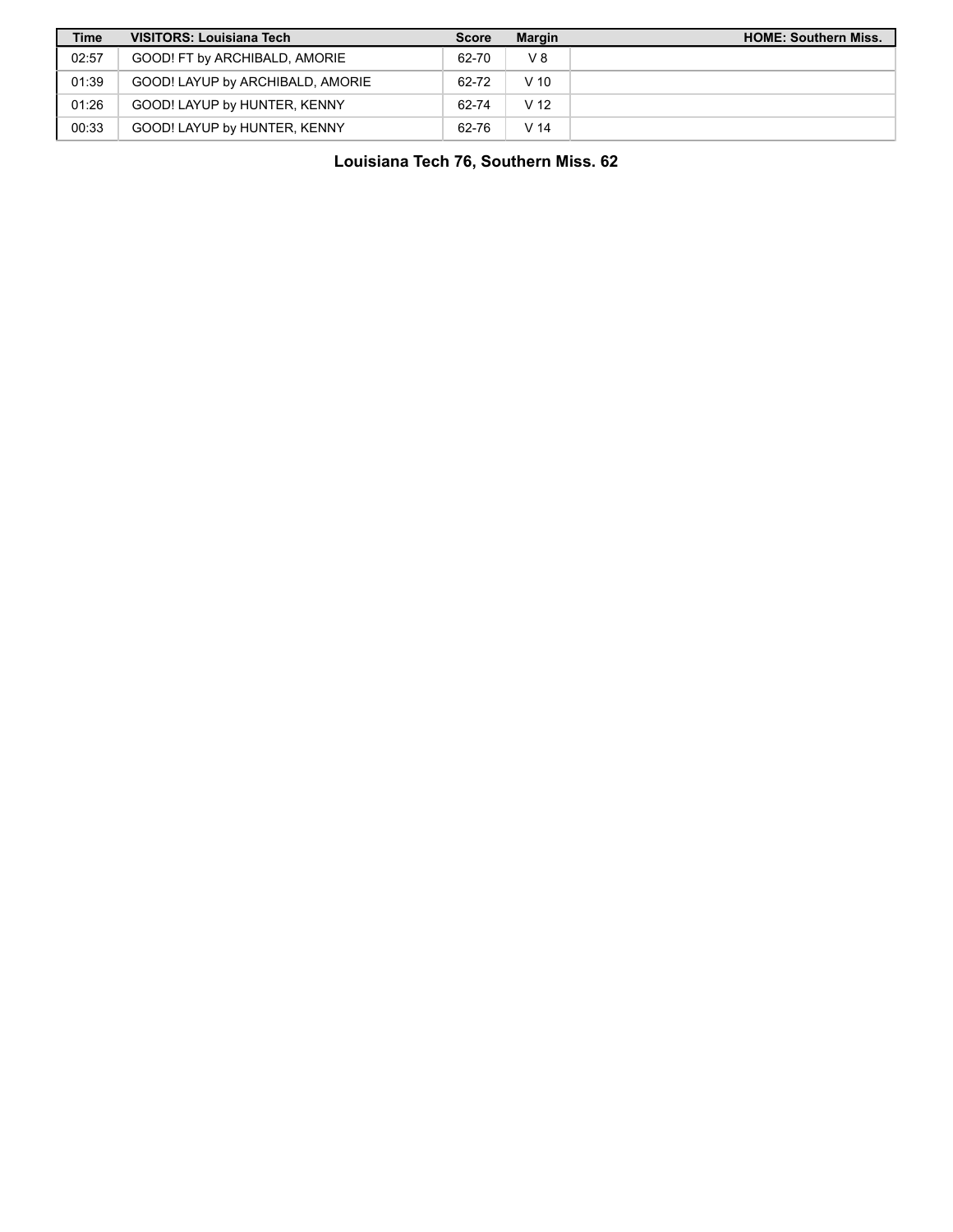| <b>Time</b> | <b>VISITORS: Louisiana Tech</b>  | <b>Score</b> | <b>Margin</b>   | <b>HOME: Southern Miss.</b> |
|-------------|----------------------------------|--------------|-----------------|-----------------------------|
| 02:57       | GOOD! FT by ARCHIBALD, AMORIE    | 62-70        | $V_8$           |                             |
| 01:39       | GOOD! LAYUP by ARCHIBALD, AMORIE | 62-72        | V <sub>10</sub> |                             |
| 01:26       | GOOD! LAYUP by HUNTER, KENNY     | 62-74        | V <sub>12</sub> |                             |
| 00:33       | GOOD! LAYUP by HUNTER, KENNY     | 62-76        | V <sub>14</sub> |                             |

**Louisiana Tech 76, Southern Miss. 62**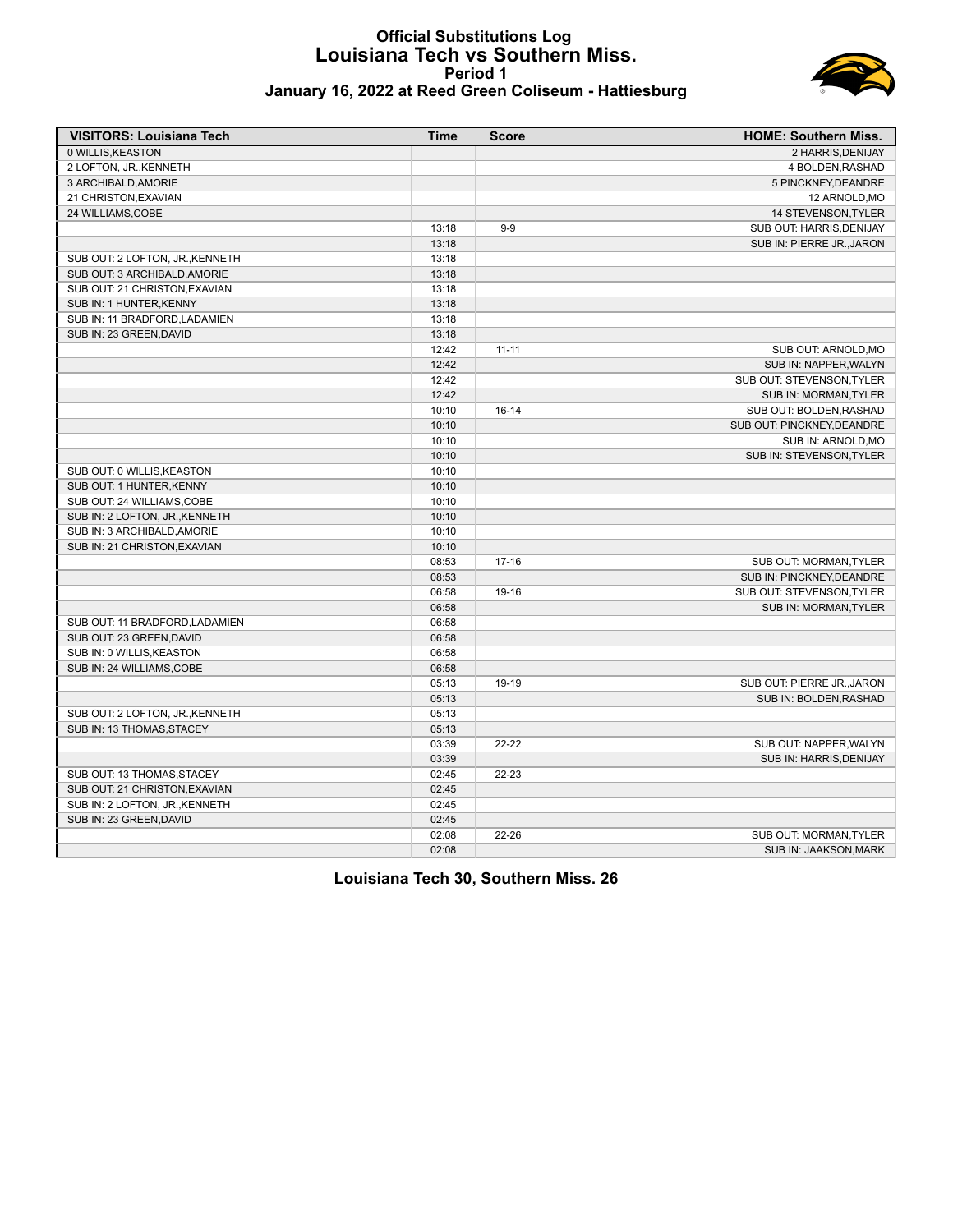#### **Official Substitutions Log Louisiana Tech vs Southern Miss. Period 1 January 16, 2022 at Reed Green Coliseum - Hattiesburg**



| <b>VISITORS: Louisiana Tech</b> | Time  | <b>Score</b> | <b>HOME: Southern Miss.</b> |
|---------------------------------|-------|--------------|-----------------------------|
| 0 WILLIS, KEASTON               |       |              | 2 HARRIS, DENIJAY           |
| 2 LOFTON, JR., KENNETH          |       |              | 4 BOLDEN, RASHAD            |
| 3 ARCHIBALD, AMORIE             |       |              | 5 PINCKNEY, DEANDRE         |
| 21 CHRISTON, EXAVIAN            |       |              | 12 ARNOLD, MO               |
| 24 WILLIAMS, COBE               |       |              | 14 STEVENSON, TYLER         |
|                                 | 13:18 | $9-9$        | SUB OUT: HARRIS, DENIJAY    |
|                                 | 13:18 |              | SUB IN: PIERRE JR., JARON   |
| SUB OUT: 2 LOFTON, JR., KENNETH | 13:18 |              |                             |
| SUB OUT: 3 ARCHIBALD, AMORIE    | 13:18 |              |                             |
| SUB OUT: 21 CHRISTON, EXAVIAN   | 13:18 |              |                             |
| SUB IN: 1 HUNTER, KENNY         | 13:18 |              |                             |
| SUB IN: 11 BRADFORD, LADAMIEN   | 13:18 |              |                             |
| SUB IN: 23 GREEN.DAVID          | 13:18 |              |                             |
|                                 | 12:42 | $11 - 11$    | SUB OUT: ARNOLD, MO         |
|                                 | 12:42 |              | SUB IN: NAPPER, WALYN       |
|                                 | 12:42 |              | SUB OUT: STEVENSON, TYLER   |
|                                 | 12:42 |              | SUB IN: MORMAN, TYLER       |
|                                 | 10:10 | $16 - 14$    | SUB OUT: BOLDEN, RASHAD     |
|                                 | 10:10 |              | SUB OUT: PINCKNEY, DEANDRE  |
|                                 | 10:10 |              | SUB IN: ARNOLD, MO          |
|                                 | 10:10 |              | SUB IN: STEVENSON, TYLER    |
| SUB OUT: 0 WILLIS, KEASTON      | 10:10 |              |                             |
| SUB OUT: 1 HUNTER, KENNY        | 10:10 |              |                             |
| SUB OUT: 24 WILLIAMS, COBE      | 10:10 |              |                             |
| SUB IN: 2 LOFTON, JR., KENNETH  | 10:10 |              |                             |
|                                 |       |              |                             |
| SUB IN: 3 ARCHIBALD, AMORIE     | 10:10 |              |                             |
| SUB IN: 21 CHRISTON, EXAVIAN    | 10:10 |              |                             |
|                                 | 08:53 | $17 - 16$    | SUB OUT: MORMAN, TYLER      |
|                                 | 08:53 |              | SUB IN: PINCKNEY, DEANDRE   |
|                                 | 06:58 | 19-16        | SUB OUT: STEVENSON, TYLER   |
|                                 | 06:58 |              | SUB IN: MORMAN, TYLER       |
| SUB OUT: 11 BRADFORD, LADAMIEN  | 06:58 |              |                             |
| SUB OUT: 23 GREEN, DAVID        | 06:58 |              |                             |
| SUB IN: 0 WILLIS, KEASTON       | 06:58 |              |                             |
| SUB IN: 24 WILLIAMS, COBE       | 06:58 |              |                             |
|                                 | 05:13 | 19-19        | SUB OUT: PIERRE JR., JARON  |
|                                 | 05:13 |              | SUB IN: BOLDEN, RASHAD      |
| SUB OUT: 2 LOFTON, JR., KENNETH | 05:13 |              |                             |
| SUB IN: 13 THOMAS, STACEY       | 05:13 |              |                             |
|                                 | 03:39 | $22 - 22$    | SUB OUT: NAPPER, WALYN      |
|                                 | 03:39 |              | SUB IN: HARRIS, DENIJAY     |
| SUB OUT: 13 THOMAS, STACEY      | 02:45 | $22 - 23$    |                             |
| SUB OUT: 21 CHRISTON, EXAVIAN   | 02:45 |              |                             |
| SUB IN: 2 LOFTON, JR., KENNETH  | 02:45 |              |                             |
| SUB IN: 23 GREEN, DAVID         | 02:45 |              |                             |
|                                 | 02:08 | $22 - 26$    | SUB OUT: MORMAN, TYLER      |
|                                 | 02:08 |              | SUB IN: JAAKSON, MARK       |

**Louisiana Tech 30, Southern Miss. 26**